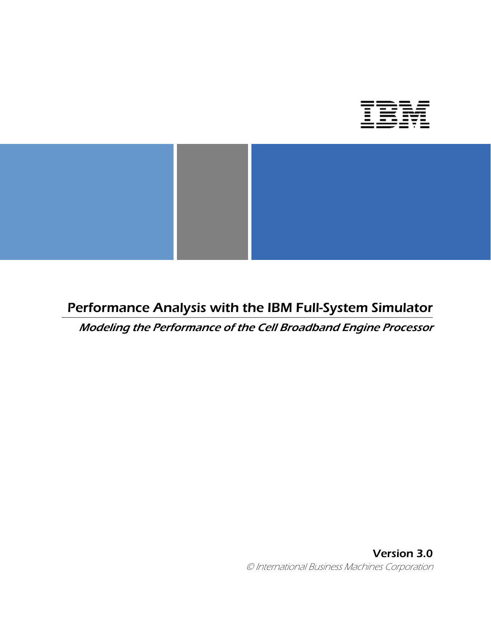



## Performance Analysis with the IBM Full-System Simulator

Modeling the Performance of the Cell Broadband Engine Processor

Version 3.0 © International Business Machines Corporation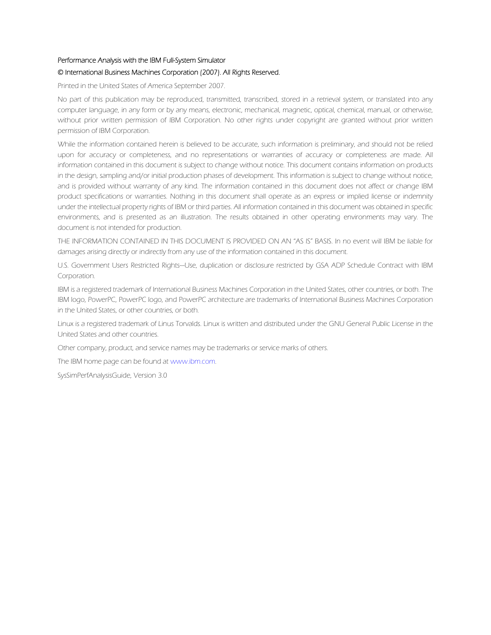#### Performance Analysis with the IBM Full-System Simulator

#### © International Business Machines Corporation (2007). All Rights Reserved.

Printed in the United States of America September 2007.

No part of this publication may be reproduced, transmitted, transcribed, stored in a retrieval system, or translated into any computer language, in any form or by any means, electronic, mechanical, magnetic, optical, chemical, manual, or otherwise, without prior written permission of IBM Corporation. No other rights under copyright are granted without prior written permission of IBM Corporation.

While the information contained herein is believed to be accurate, such information is preliminary, and should not be relied upon for accuracy or completeness, and no representations or warranties of accuracy or completeness are made. All information contained in this document is subject to change without notice. This document contains information on products in the design, sampling and/or initial production phases of development. This information is subject to change without notice, and is provided without warranty of any kind. The information contained in this document does not affect or change IBM product specifications or warranties. Nothing in this document shall operate as an express or implied license or indemnity under the intellectual property rights of IBM or third parties. All information contained in this document was obtained in specific environments, and is presented as an illustration. The results obtained in other operating environments may vary. The document is not intended for production.

THE INFORMATION CONTAINED IN THIS DOCUMENT IS PROVIDED ON AN "AS IS" BASIS. In no event will IBM be liable for damages arising directly or indirectly from any use of the information contained in this document.

U.S. Government Users Restricted Rights—Use, duplication or disclosure restricted by GSA ADP Schedule Contract with IBM Corporation.

IBM is a registered trademark of International Business Machines Corporation in the United States, other countries, or both. The IBM logo, PowerPC, PowerPC logo, and PowerPC architecture are trademarks of International Business Machines Corporation in the United States, or other countries, or both.

Linux is a registered trademark of Linus Torvalds. Linux is written and distributed under the GNU General Public License in the United States and other countries.

Other company, product, and service names may be trademarks or service marks of others.

The IBM home page can be found at www.ibm.com.

SysSimPerfAnalysisGuide, Version 3.0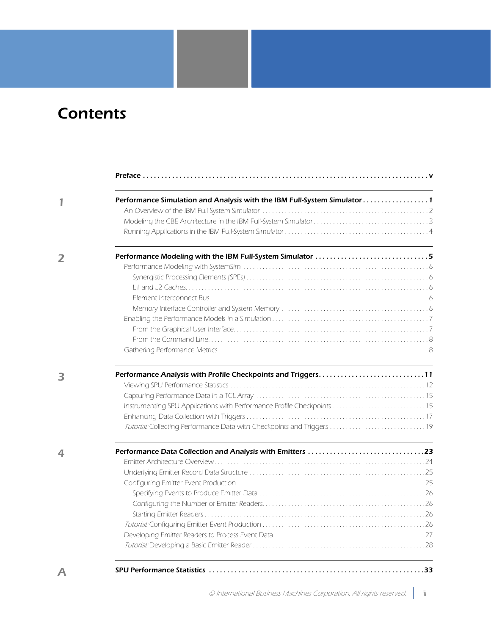# Contents

| Performance Simulation and Analysis with the IBM Full-System Simulator 1 |  |
|--------------------------------------------------------------------------|--|
|                                                                          |  |
|                                                                          |  |
|                                                                          |  |
|                                                                          |  |
|                                                                          |  |
|                                                                          |  |
|                                                                          |  |
|                                                                          |  |
|                                                                          |  |
|                                                                          |  |
|                                                                          |  |
|                                                                          |  |
|                                                                          |  |
|                                                                          |  |
|                                                                          |  |
|                                                                          |  |
|                                                                          |  |
|                                                                          |  |
|                                                                          |  |
|                                                                          |  |
|                                                                          |  |
|                                                                          |  |
|                                                                          |  |
|                                                                          |  |
|                                                                          |  |
|                                                                          |  |
|                                                                          |  |
|                                                                          |  |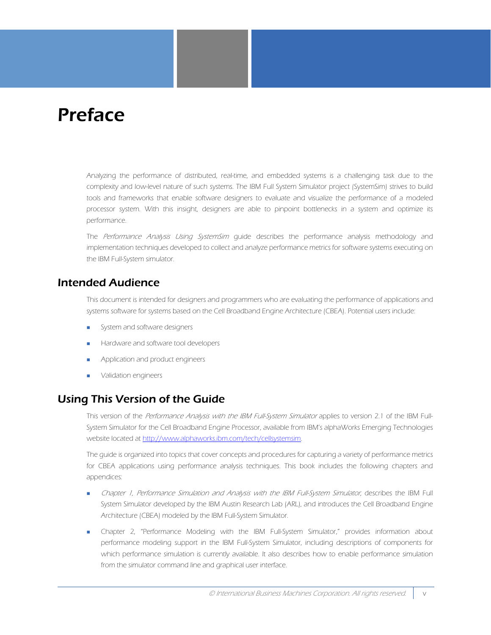# <span id="page-4-0"></span>Preface

Analyzing the performance of distributed, real-time, and embedded systems is a challenging task due to the complexity and low-level nature of such systems. The IBM Full System Simulator project (SystemSim) strives to build tools and frameworks that enable software designers to evaluate and visualize the performance of a modeled processor system. With this insight, designers are able to pinpoint bottlenecks in a system and optimize its performance.

The Performance Analysis Using SystemSim quide describes the performance analysis methodology and implementation techniques developed to collect and analyze performance metrics for software systems executing on the IBM Full-System simulator.

### Intended Audience

This document is intended for designers and programmers who are evaluating the performance of applications and systems software for systems based on the Cell Broadband Engine Architecture (CBEA). Potential users include:

- **System and software designers**
- Hardware and software tool developers
- **Application and product engineers**
- Validation engineers

## Using This Version of the Guide

This version of the Performance Analysis with the IBM Full-System Simulator applies to version 2.1 of the IBM Full-System Simulator for the Cell Broadband Engine Processor, available from IBM's alphaWorks Emerging Technologies website located at http://www.alphaworks.ibm.com/tech/cellsystemsim.

The guide is organized into topics that cover concepts and procedures for capturing a variety of performance metrics for CBEA applications using performance analysis techniques. This book includes the following chapters and appendices:

- [Chapter 1, Performance Simulation and Analysis with the IBM Full-System Simulator](#page-8-1), describes the IBM Full System Simulator developed by the IBM Austin Research Lab (ARL), and introduces the Cell Broadband Engine Architecture (CBEA) modeled by the IBM Full-System Simulator.
- [Chapter 2, "Performance Modeling with the IBM Full-System Simulator,"](#page-12-1) provides information about performance modeling support in the IBM Full-System Simulator, including descriptions of components for which performance simulation is currently available. It also describes how to enable performance simulation from the simulator command line and graphical user interface.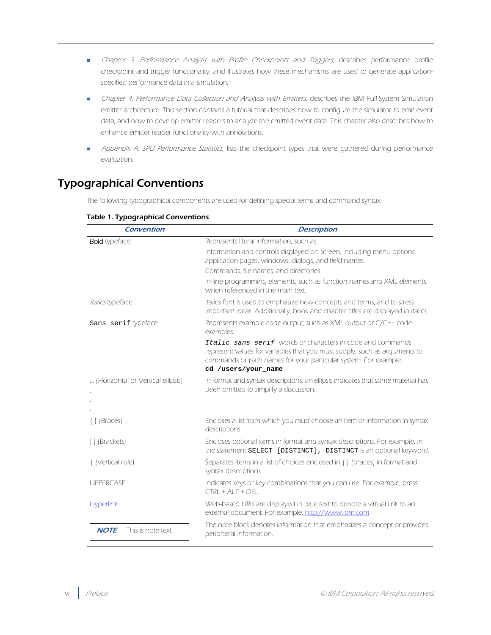- **[Chapter 3, Performance Analysis with Profile Checkpoints and Triggers](#page-18-1), describes performance profile** checkpoint and trigger functionality, and illustrates how these mechanisms are used to generate applicationspecified performance data in a simulation.
- [Chapter 4, Performance Data Collection and Analysis with Emitters](#page-30-1), describes the IBM Full-System Simulation emitter architecture. This section contains a tutorial that describes how to configure the simulator to emit event data, and how to develop emitter readers to analyze the emitted event data. This chapter also describes how to enhance emitter reader functionality with annotations.
- **[Appendix A, SPU Performance Statistics](#page-40-1), lists the checkpoint types that were gathered during performance** evaluation.

## Typographical Conventions

The following typographical components are used for defining special terms and command syntax:

| <b>Convention</b>                 | <b>Description</b>                                                                                                                                                                                                                |
|-----------------------------------|-----------------------------------------------------------------------------------------------------------------------------------------------------------------------------------------------------------------------------------|
| <b>Bold</b> typeface              | Represents literal information, such as:                                                                                                                                                                                          |
|                                   | Information and controls displayed on screen, including menu options,<br>application pages, windows, dialogs, and field names.                                                                                                    |
|                                   | Commands, file names, and directories.                                                                                                                                                                                            |
|                                   | In-line programming elements, such as function names and XML elements<br>when referenced in the main text.                                                                                                                        |
| Italics typeface                  | Italics font is used to emphasize new concepts and terms, and to stress<br>important ideas. Additionally, book and chapter titles are displayed in italics.                                                                       |
| Sans serif typeface               | Represents example code output, such as XML output or C/C++ code<br>examples.                                                                                                                                                     |
|                                   | Italic sans serif words or characters in code and commands<br>represent values for variables that you must supply, such as arguments to<br>commands or path names for your particular system. For example:<br>cd /users/your name |
| (Horizontal or Vertical ellipsis) | In format and syntax descriptions, an ellipsis indicates that some material has<br>been omitted to simplify a discussion.                                                                                                         |
|                                   |                                                                                                                                                                                                                                   |
| $\{\}$ (Braces)                   | Encloses a list from which you must choose an item or information in syntax<br>descriptions.                                                                                                                                      |
| [] (Brackets)                     | Encloses optional items in format and syntax descriptions. For example, in<br>the statement SELECT [DISTINCT], DISTINCT is an optional keyword.                                                                                   |
| (Vertical rule)                   | Separates items in a list of choices enclosed in { } (braces) in format and<br>syntax descriptions.                                                                                                                               |
| <b>UPPERCASE</b>                  | Indicates keys or key combinations that you can use. For example, press<br>$CTR + AIT + DFI$                                                                                                                                      |
| <b>Hyperlink</b>                  | Web-based URIs are displayed in blue text to denote a virtual link to an<br>external document. For example: http://www.ibm.com                                                                                                    |
| <b>NOTE</b><br>This is note text. | The note block denotes information that emphasizes a concept or provides<br>peripheral information.                                                                                                                               |

#### Table 1. Typographical Conventions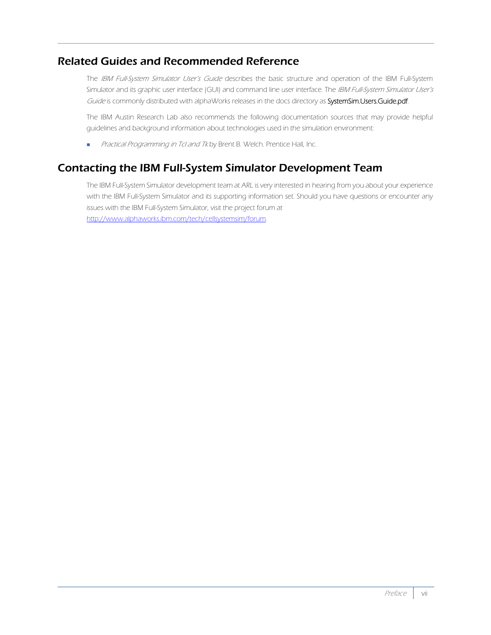## Related Guides and Recommended Reference

The IBM Full-System Simulator User's Guide describes the basic structure and operation of the IBM Full-System Simulator and its graphic user interface (GUI) and command line user interface. The IBM Full-System Simulator User's Guide is commonly distributed with alphaWorks releases in the docs directory as SystemSim.Users.Guide.pdf.

The IBM Austin Research Lab also recommends the following documentation sources that may provide helpful guidelines and background information about technologies used in the simulation environment:

**Practical Programming in Tcl and Tk by Brent B. Welch. Prentice Hall, Inc.** 

## Contacting the IBM Full-System Simulator Development Team

The IBM Full-System Simulator development team at ARL is very interested in hearing from you about your experience with the IBM Full-System Simulator and its supporting information set. Should you have questions or encounter any issues with the IBM Full-System Simulator, visit the project forum at http://www.alphaworks.ibm.com/tech/cellsystemsim/forum.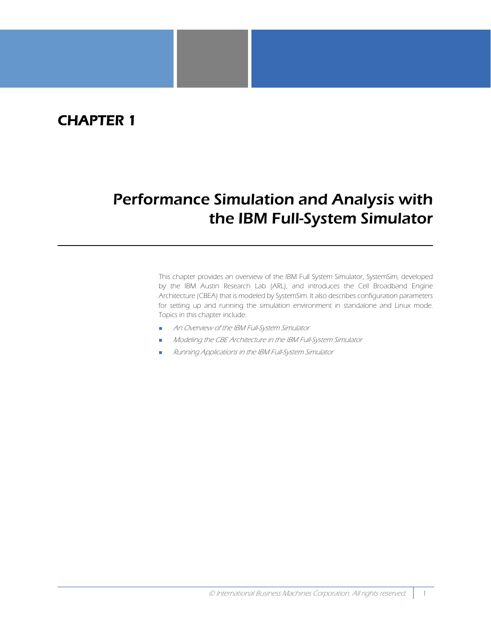## CHAPTER 1

# <span id="page-8-1"></span><span id="page-8-0"></span>Performance Simulation and Analysis with the IBM Full-System Simulator

This chapter provides an overview of the IBM Full System Simulator, SystemSim, developed by the IBM Austin Research Lab (ARL), and introduces the Cell Broadband Engine Architecture (CBEA) that is modeled by SystemSim. It also describes configuration parameters for setting up and running the simulation environment in standalone and Linux mode. Topics in this chapter include:

- [An Overview of the IBM Full-System Simulator](#page-9-0)
- [Modeling the CBE Architecture in the IBM Full-System Simulator](#page-10-0)
- [Running Applications in the IBM Full-System Simulator](#page-11-0)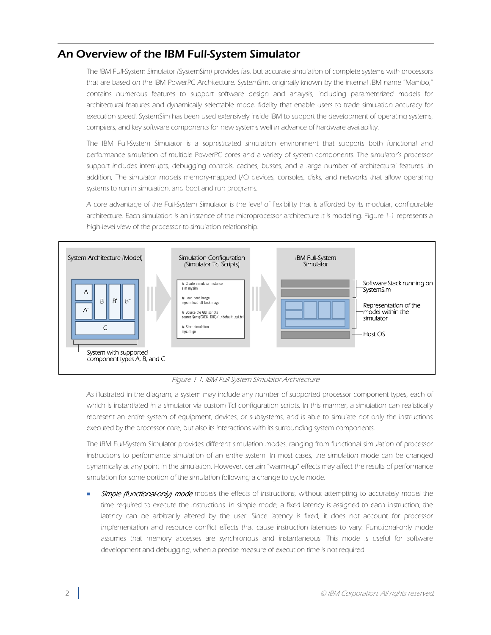## <span id="page-9-0"></span>An Overview of the IBM Full-System Simulator

The IBM Full-System Simulator (SystemSim) provides fast but accurate simulation of complete systems with processors that are based on the IBM PowerPC Architecture. SystemSim, originally known by the internal IBM name "Mambo," contains numerous features to support software design and analysis, including parameterized models for architectural features and dynamically selectable model fidelity that enable users to trade simulation accuracy for execution speed. SystemSim has been used extensively inside IBM to support the development of operating systems, compilers, and key software components for new systems well in advance of hardware availability.

The IBM Full-System Simulator is a sophisticated simulation environment that supports both functional and performance simulation of multiple PowerPC cores and a variety of system components. The simulator's processor support includes interrupts, debugging controls, caches, busses, and a large number of architectural features. In addition, The simulator models memory-mapped I/O devices, consoles, disks, and networks that allow operating systems to run in simulation, and boot and run programs.

A core advantage of the Full-System Simulator is the level of flexibility that is afforded by its modular, configurable architecture. Each simulation is an instance of the microprocessor architecture it is modeling. [Figure 1-1](#page-9-1) represents a high-level view of the processor-to-simulation relationship:



Figure 1-1. IBM Full-System Simulator Architecture

<span id="page-9-1"></span>As illustrated in the diagram, a system may include any number of supported processor component types, each of which is instantiated in a simulator via custom Tcl configuration scripts. In this manner, a simulation can realistically represent an entire system of equipment, devices, or subsystems, and is able to simulate not only the instructions executed by the processor core, but also its interactions with its surrounding system components.

The IBM Full-System Simulator provides different simulation modes, ranging from functional simulation of processor instructions to performance simulation of an entire system. In most cases, the simulation mode can be changed dynamically at any point in the simulation. However, certain "warm-up" effects may affect the results of performance simulation for some portion of the simulation following a change to cycle mode.

Simple (functional-only) mode models the effects of instructions, without attempting to accurately model the time required to execute the instructions. In simple mode, a fixed latency is assigned to each instruction; the latency can be arbitrarily altered by the user. Since latency is fixed, it does not account for processor implementation and resource conflict effects that cause instruction latencies to vary. Functional-only mode assumes that memory accesses are synchronous and instantaneous. This mode is useful for software development and debugging, when a precise measure of execution time is not required.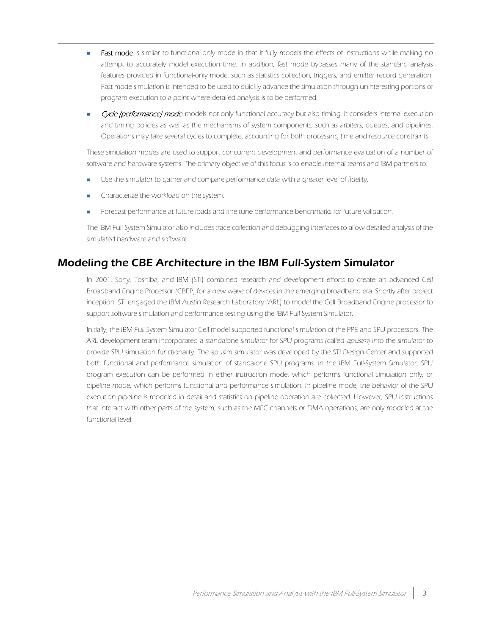- Fast mode is similar to functional-only mode in that it fully models the effects of instructions while making no attempt to accurately model execution time. In addition, fast mode bypasses many of the standard analysis features provided in functional-only mode, such as statistics collection, triggers, and emitter record generation. Fast mode simulation is intended to be used to quickly advance the simulation through uninteresting portions of program execution to a point where detailed analysis is to be performed.
- Cycle (performance) mode. models not only functional accuracy but also timing. It considers internal execution and timing policies as well as the mechanisms of system components, such as arbiters, queues, and pipelines. Operations may take several cycles to complete, accounting for both processing time and resource constraints.

These simulation modes are used to support concurrent development and performance evaluation of a number of software and hardware systems. The primary objective of this focus is to enable internal teams and IBM partners to:

- Use the simulator to gather and compare performance data with a greater level of fidelity.
- **Characterize the workload on the system.**
- **Forecast performance at future loads and fine-tune performance benchmarks for future validation.**

The IBM Full-System Simulator also includes trace collection and debugging interfaces to allow detailed analysis of the simulated hardware and software.

### <span id="page-10-0"></span>Modeling the CBE Architecture in the IBM Full-System Simulator

In 2001, Sony, Toshiba, and IBM (STI) combined research and development efforts to create an advanced Cell Broadband Engine Processor (CBEP) for a new wave of devices in the emerging broadband era. Shortly after project inception, STI engaged the IBM Austin Research Laboratory (ARL) to model the Cell Broadband Engine processor to support software simulation and performance testing using the IBM Full-System Simulator.

Initially, the IBM Full-System Simulator Cell model supported functional simulation of the PPE and SPU processors. The ARL development team incorporated a standalone simulator for SPU programs (called *apusim*) into the simulator to provide SPU simulation functionality. The apusim simulator was developed by the STI Design Center and supported both functional and performance simulation of standalone SPU programs. In the IBM Full-System Simulator, SPU program execution can be performed in either instruction mode, which performs functional simulation only, or pipeline mode, which performs functional and performance simulation. In pipeline mode, the behavior of the SPU execution pipeline is modeled in detail and statistics on pipeline operation are collected. However, SPU instructions that interact with other parts of the system, such as the MFC channels or DMA operations, are only modeled at the functional level.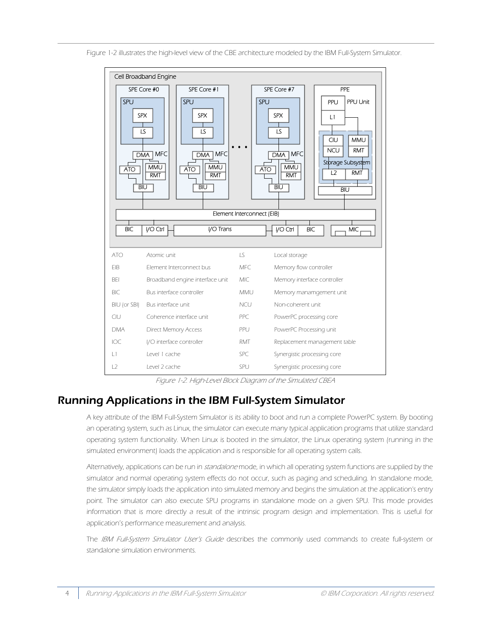



Figure 1-2. High-Level Block Diagram of the Simulated CBEA

## <span id="page-11-0"></span>Running Applications in the IBM Full-System Simulator

A key attribute of the IBM Full-System Simulator is its ability to boot and run a complete PowerPC system. By booting an operating system, such as Linux, the simulator can execute many typical application programs that utilize standard operating system functionality. When Linux is booted in the simulator, the Linux operating system (running in the simulated environment) loads the application and is responsible for all operating system calls.

Alternatively, applications can be run in standalone mode, in which all operating system functions are supplied by the simulator and normal operating system effects do not occur, such as paging and scheduling. In standalone mode, the simulator simply loads the application into simulated memory and begins the simulation at the application's entry point. The simulator can also execute SPU programs in standalone mode on a given SPU. This mode provides information that is more directly a result of the intrinsic program design and implementation. This is useful for application's performance measurement and analysis.

The IBM Full-System Simulator User's Guide describes the commonly used commands to create full-system or standalone simulation environments.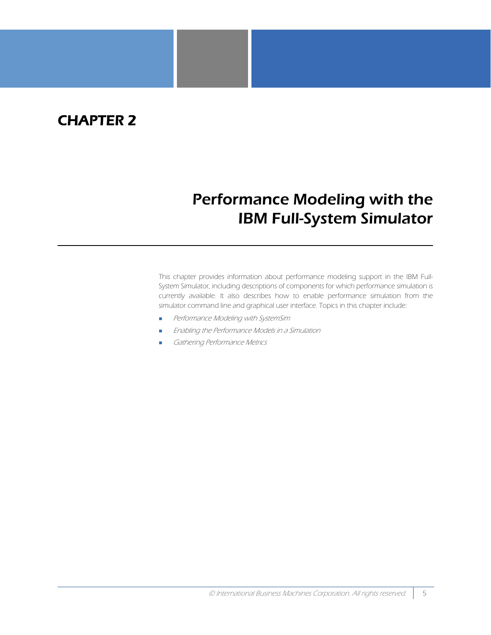## <span id="page-12-0"></span>CHAPTER 2

# <span id="page-12-1"></span>Performance Modeling with the IBM Full-System Simulator

This chapter provides information about performance modeling support in the IBM Full-System Simulator, including descriptions of components for which performance simulation is currently available. It also describes how to enable performance simulation from the simulator command line and graphical user interface. Topics in this chapter include:

- **[Performance Modeling with SystemSim](#page-13-0)**
- [Enabling the Performance Models in a Simulation](#page-14-0)
- [Gathering Performance Metrics](#page-15-1)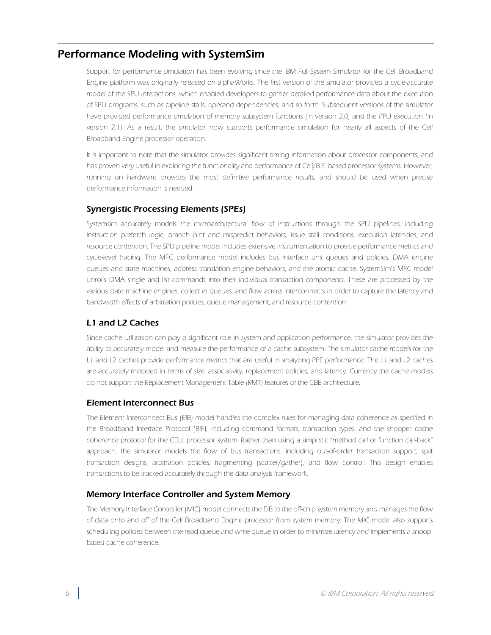### <span id="page-13-0"></span>Performance Modeling with SystemSim

Support for performance simulation has been evolving since the IBM Full-System Simulator for the Cell Broadband Engine platform was originally released on alphaWorks. The first version of the simulator provided a cycle-accurate model of the SPU interactions, which enabled developers to gather detailed performance data about the execution of SPU programs, such as pipeline stalls, operand dependencies, and so forth. Subsequent versions of the simulator have provided performance simulation of memory subsystem functions (in version 2.0) and the PPU execution (in version 2.1). As a result, the simulator now supports performance simulation for nearly all aspects of the Cell Broadband Engine processor operation.

It is important to note that the simulator provides significant timing information about processor components, and has proven very useful in exploring the functionality and performance of Cell/B.E. based processor systems. However, running on hardware provides the most definitive performance results, and should be used when precise performance information is needed.

#### <span id="page-13-1"></span>Synergistic Processing Elements (SPEs)

Systemsim accurately models the microarchitectural flow of instructions through the SPU pipelines, including instruction prefetch logic, branch hint and mispredict behaviors, issue stall conditions, execution latencies, and resource contention. The SPU pipeline model includes extensive instrumentation to provide performance metrics and cycle-level tracing. The MFC performance model includes bus interface unit queues and policies, DMA engine queues and state machines, address translation engine behaviors, and the atomic cache. SystemSim's MFC model unrolls DMA single and list commands into their individual transaction components. These are processed by the various state machine engines, collect in queues, and flow across interconnects in order to capture the latency and bandwidth effects of arbitration policies, queue management, and resource contention.

#### <span id="page-13-2"></span>L1 and L2 Caches

Since cache utilization can play a significant role in system and application performance, the simulator provides the ability to accurately model and measure the performance of a cache subsystem. The simulator cache models for the L1 and L2 caches provide performance metrics that are useful in analyzing PPE performance. The L1 and L2 caches are accurately modeled in terms of size, associativity, replacement policies, and latency. Currently the cache models do not support the Replacement Management Table (RMT) features of the CBE architecture.

#### <span id="page-13-3"></span>Element Interconnect Bus

The Element Interconnect Bus (EIB) model handles the complex rules for managing data coherence as specified in the Broadband Interface Protocol (BIF), including command formats, transaction types, and the snooper cache coherence protocol for the CELL processor system. Rather than using a simplistic "method call or function call-back" approach, the simulator models the flow of bus transactions. including out-of-order transaction support, split transaction designs, arbitration policies, fragmenting (scatter/gather), and flow control. This design enables transactions to be tracked accurately through the data analysis framework.

#### <span id="page-13-4"></span>Memory Interface Controller and System Memory

The Memory Interface Controller (MIC) model connects the EIB to the off-chip system memory and manages the flow of data onto and off of the Cell Broadband Engine processor from system memory. The MIC model also supports scheduling policies between the read queue and write queue in order to minimize latency and implements a snoopbased cache coherence.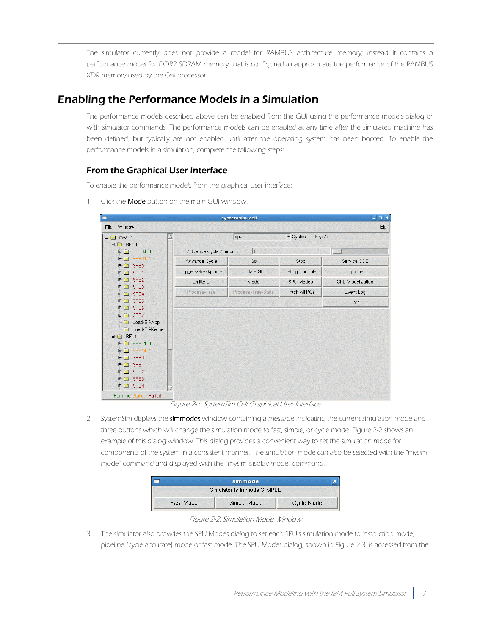The simulator currently does not provide a model for RAMBUS architecture memory; instead it contains a performance model for DDR2 SDRAM memory that is configured to approximate the performance of the RAMBUS XDR memory used by the Cell processor.

### <span id="page-14-0"></span>Enabling the Performance Models in a Simulation

The performance models described above can be enabled from the GUI using the performance models dialog or with simulator commands. The performance models can be enabled at any time after the simulated machine has been defined, but typically are not enabled until after the operating system has been booted. To enable the performance models in a simulation, complete the following steps:

#### <span id="page-14-1"></span>From the Graphical User Interface

To enable the performance models from the graphical user interface:

1. Click the **Mode** button on the main GUI window.

| п                                     |                        | systemsim-cell     |                      | $\Box$ o $x$             |
|---------------------------------------|------------------------|--------------------|----------------------|--------------------------|
| Window<br>File                        |                        |                    |                      | Help                     |
| mysim<br>$E - E$                      |                        | cpu                | V Cycles: 9,282,777  |                          |
| $\Box$ BE 0                           |                        |                    |                      |                          |
| <b>□ □ PPE0:0:0</b>                   | Advance Cycle Amount : | 1                  |                      |                          |
| <b>由 □ PPE0:0:1</b><br><b>□□ SPEO</b> | Advance Cycle          | Go                 | Stop                 | Service GDB              |
| 田口 SPE1                               | Triggers/Breakpoints   | Update GUI         | Debug Controls       | Options                  |
| <b>□ □ SPE2</b>                       | <b>Emitters</b>        | Mode               | SPU Modes            | <b>SPE</b> Visualization |
| <b>⊞□ SPE3</b><br>田口 SPE4             | Process-Tree           | Process-Tree-Stats | <b>Track All PCs</b> | Event Log                |
| <b>⊞</b> □ SPE5                       |                        |                    |                      | Exit                     |
| 田口 SPE6                               |                        |                    |                      |                          |
| <b>⊞</b> G SPE7                       |                        |                    |                      |                          |
| Load-Elf-App                          |                        |                    |                      |                          |
| Load-Elf-Kernel<br>0.<br>$BE_1$<br>Ė. |                        |                    |                      |                          |
| <b>□ □ PPE1:0:0</b>                   |                        |                    |                      |                          |
| □ PPE1:0:1                            |                        |                    |                      |                          |
| <b>⊞</b> G SPE0                       |                        |                    |                      |                          |
| 田口 SPE1                               |                        |                    |                      |                          |
| <b>⊞</b> G SPE2                       |                        |                    |                      |                          |
| <b>⊞</b> □ SPE3                       |                        |                    |                      |                          |
| <b>□□ SPE4</b>                        |                        |                    |                      |                          |
| Running Stalled Halted                |                        |                    |                      |                          |

Figure 2-1. SystemSim Cell Graphical User Interface

2. SystemSim displays the simmodes window containing a message indicating the current simulation mode and three buttons which will change the simulation mode to fast, simple, or cycle mode. [Figure 2-2](#page-14-2) shows an example of this dialog window. This dialog provides a convenient way to set the simulation mode for components of the system in a consistent manner. The simulation mode can also be selected with the "mysim mode" command and displayed with the "mysim display mode" command.

|           | simmode                     |            |
|-----------|-----------------------------|------------|
|           | Simulator is in mode SIMPLE |            |
| Fast Mode | Simple Mode                 | Cycle Mode |

Figure 2-2. Simulation Mode Window

<span id="page-14-2"></span>3. The simulator also provides the SPU Modes dialog to set each SPU's simulation mode to instruction mode, pipeline (cycle accurate) mode or fast mode. The SPU Modes dialog, shown in [Figure 2-3](#page-15-2), is accessed from the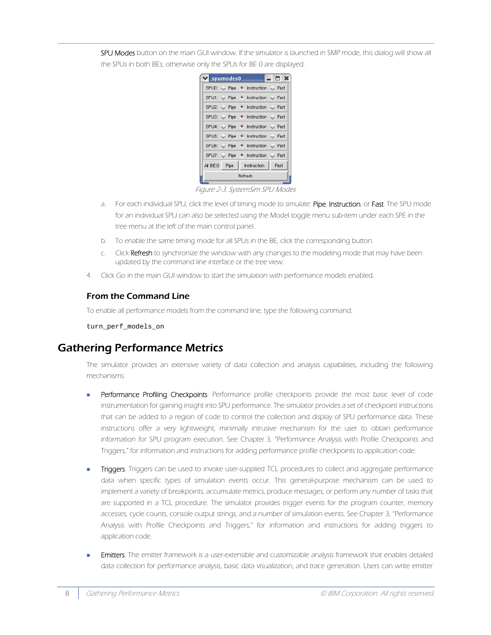SPU Modes button on the main GUI window. If the simulator is launched in SMP mode, this dialog will show all the SPUs in both BEs; otherwise only the SPUs for BE 0 are displayed.

|  | Spumodes0 |         |                                                     | - 1 X |  |
|--|-----------|---------|-----------------------------------------------------|-------|--|
|  |           |         | SPU0: Pipe + Instruction + Fast                     |       |  |
|  |           |         | SPU1: ← Pipe → Instruction ← Fast                   |       |  |
|  |           |         | SPU2: $\Diamond$ Pipe + Instruction $\Diamond$ Fast |       |  |
|  |           |         | SPU3: $\Diamond$ Pipe + Instruction $\Diamond$ Fast |       |  |
|  |           |         | SPU4: $\Diamond$ Pipe + Instruction $\Diamond$ Fast |       |  |
|  |           |         | SPU5: $\Diamond$ Pipe + Instruction $\Diamond$ Fast |       |  |
|  |           |         | SPU6: $\Diamond$ Pipe + Instruction $\Diamond$ Fast |       |  |
|  |           |         | SPU7: Pipe + Instruction + Fast                     |       |  |
|  |           |         | All BE:0    Pipe   Instruction                      | Fast  |  |
|  |           | Refresh |                                                     |       |  |

Figure 2-3. SystemSim SPU Modes

- <span id="page-15-2"></span>a. For each individual SPU, click the level of timing mode to simulate: Pipe, Instruction, or Fast. The SPU mode for an individual SPU can also be selected using the Model toggle menu sub-item under each SPE in the tree menu at the left of the main control panel.
- b. To enable the same timing mode for all SPUs in the BE, click the corresponding button.
- c. Click Refresh to synchronize the window with any changes to the modeling mode that may have been updated by the command line interface or the tree view.
- 4. Click Go in the main GUI window to start the simulation with performance models enabled.

#### <span id="page-15-0"></span>From the Command Line

To enable all performance models from the command line, type the following command:

turn\_perf\_models\_on

## <span id="page-15-1"></span>Gathering Performance Metrics

The simulator provides an extensive variety of data collection and analysis capabilities, including the following mechanisms:

- Performance Profiling Checkpoints. Performance profile checkpoints provide the most basic level of code instrumentation for gaining insight into SPU performance. The simulator provides a set of checkpoint instructions that can be added to a region of code to control the collection and display of SPU performance data. These instructions offer a very lightweight, minimally intrusive mechanism for the user to obtain performance information for SPU program execution. See [Chapter 3, "Performance Analysis with Profile Checkpoints and](#page-18-1) [Triggers,"](#page-18-1) for information and instructions for adding performance profile checkpoints to application code.
- Triggers. Triggers can be used to invoke user-supplied TCL procedures to collect and aggregate performance data when specific types of simulation events occur. This general-purpose mechanism can be used to implement a variety of breakpoints, accumulate metrics, produce messages, or perform any number of tasks that are supported in a TCL procedure. The simulator provides trigger events for the program counter, memory accesses, cycle counts, console output strings, and a number of simulation events. See [Chapter 3, "Performance](#page-18-1) [Analysis with Profile Checkpoints and Triggers,"](#page-18-1) for information and instructions for adding triggers to application code.
- Emitters. The emitter framework is a user-extensible and customizable analysis framework that enables detailed data collection for performance analysis, basic data visualization, and trace generation. Users can write emitter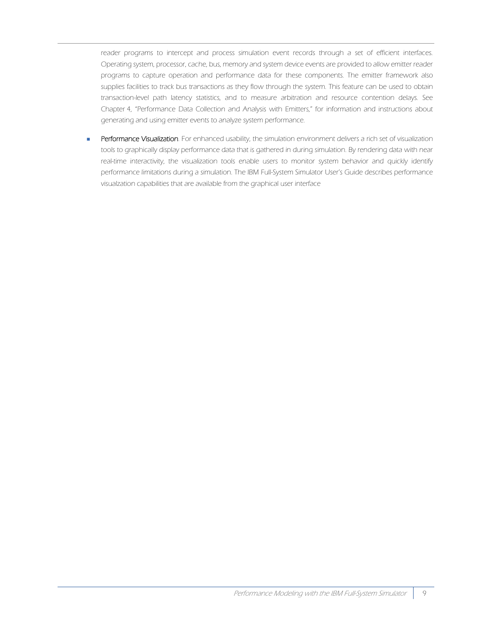reader programs to intercept and process simulation event records through a set of efficient interfaces. Operating system, processor, cache, bus, memory and system device events are provided to allow emitter reader programs to capture operation and performance data for these components. The emitter framework also supplies facilities to track bus transactions as they flow through the system. This feature can be used to obtain transaction-level path latency statistics, and to measure arbitration and resource contention delays. See [Chapter 4, "Performance Data Collection and Analysis with Emitters,"](#page-30-1) for information and instructions about generating and using emitter events to analyze system performance.

Performance Visualization. For enhanced usability, the simulation environment delivers a rich set of visualization tools to graphically display performance data that is gathered in during simulation. By rendering data with near real-time interactivity, the visualization tools enable users to monitor system behavior and quickly identify performance limitations during a simulation. The IBM Full-System Simulator User's Guide describes performance visualzation capabilities that are available from the graphical user interface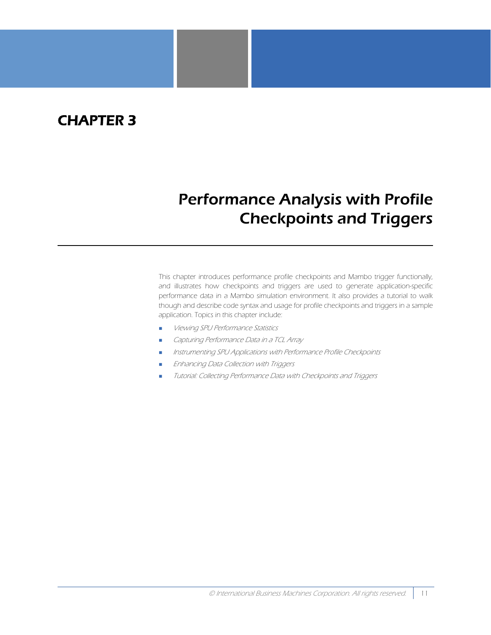## <span id="page-18-0"></span>CHAPTER 3

# <span id="page-18-1"></span>Performance Analysis with Profile Checkpoints and Triggers

This chapter introduces performance profile checkpoints and Mambo trigger functionally, and illustrates how checkpoints and triggers are used to generate application-specific performance data in a Mambo simulation environment. It also provides a tutorial to walk though and describe code syntax and usage for profile checkpoints and triggers in a sample application. Topics in this chapter include:

- [Viewing SPU Performance Statistics](#page-19-0)
- [Capturing Performance Data in a TCL Array](#page-22-0)
- [Instrumenting SPU Applications with Performance Profile Checkpoints](#page-22-1)
- [Enhancing Data Collection with Triggers](#page-24-0)
- [Tutorial: Collecting Performance Data with Checkpoints and Triggers](#page-26-0)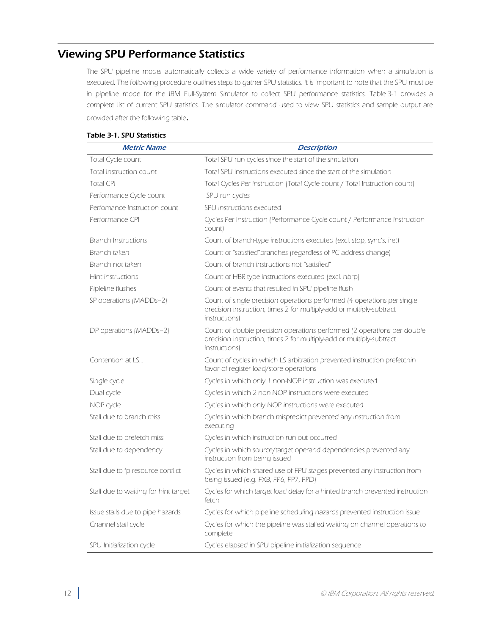## <span id="page-19-0"></span>Viewing SPU Performance Statistics

The SPU pipeline model automatically collects a wide variety of performance information when a simulation is executed. The following procedure outlines steps to gather SPU statistics. It is important to note that the SPU must be in pipeline mode for the IBM Full-System Simulator to collect SPU performance statistics. Table 3-1 provides a complete list of current SPU statistics. The simulator command used to view SPU statistics and sample output are provided after the following table.

|  | Table 3-1. SPU Statistics |  |  |  |  |
|--|---------------------------|--|--|--|--|
|--|---------------------------|--|--|--|--|

| <b>Metric Name</b>                   | <b>Description</b>                                                                                                                                               |
|--------------------------------------|------------------------------------------------------------------------------------------------------------------------------------------------------------------|
| Total Cycle count                    | Total SPU run cycles since the start of the simulation                                                                                                           |
| Total Instruction count              | Total SPU instructions executed since the start of the simulation                                                                                                |
| Total CPL                            | Total Cycles Per Instruction (Total Cycle count / Total Instruction count)                                                                                       |
| Performance Cycle count              | SPU run cycles                                                                                                                                                   |
| Perfomance Instruction count         | SPU instructions executed                                                                                                                                        |
| Performance CPI                      | Cycles Per Instruction (Performance Cycle count / Performance Instruction<br>count)                                                                              |
| <b>Branch Instructions</b>           | Count of branch-type instructions executed (excl. stop, sync's, iret)                                                                                            |
| Branch taken                         | Count of "satisfied" branches (regardless of PC address change)                                                                                                  |
| Branch not taken                     | Count of branch instructions not "satisfied"                                                                                                                     |
| Hint instructions                    | Count of HBR-type instructions executed (excl. hbrp)                                                                                                             |
| Pipleline flushes                    | Count of events that resulted in SPU pipeline flush                                                                                                              |
| SP operations (MADDs=2)              | Count of single precision operations performed (4 operations per single<br>precision instruction, times 2 for multiply-add or multiply-subtract<br>instructions) |
| DP operations (MADDs=2)              | Count of double precision operations performed (2 operations per double<br>precision instruction, times 2 for multiply-add or multiply-subtract<br>instructions) |
| Contention at LS                     | Count of cycles in which LS arbitration prevented instruction prefetchin<br>favor of register load/store operations                                              |
| Single cycle                         | Cycles in which only 1 non-NOP instruction was executed                                                                                                          |
| Dual cycle                           | Cycles in which 2 non-NOP instructions were executed                                                                                                             |
| NOP cycle                            | Cycles in which only NOP instructions were executed                                                                                                              |
| Stall due to branch miss             | Cycles in which branch mispredict prevented any instruction from<br>executing                                                                                    |
| Stall due to prefetch miss           | Cycles in which instruction run-out occurred                                                                                                                     |
| Stall due to dependency              | Cycles in which source/target operand dependencies prevented any<br>instruction from being issued                                                                |
| Stall due to fp resource conflict    | Cycles in which shared use of FPU stages prevented any instruction from<br>being issued (e.g. FXB, FP6, FP7, FPD)                                                |
| Stall due to waiting for hint target | Cycles for which target load delay for a hinted branch prevented instruction<br>fetch                                                                            |
| Issue stalls due to pipe hazards     | Cycles for which pipeline scheduling hazards prevented instruction issue                                                                                         |
| Channel stall cycle                  | Cycles for which the pipeline was stalled waiting on channel operations to<br>complete                                                                           |
| SPU Initialization cycle             | Cycles elapsed in SPU pipeline initialization sequence                                                                                                           |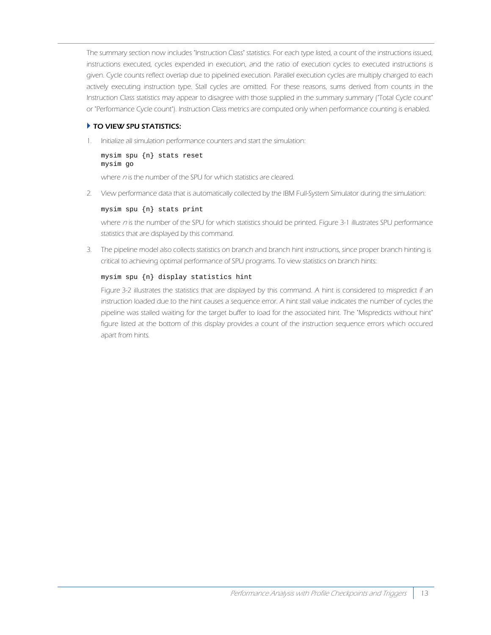The summary section now includes "Instruction Class" statistics. For each type listed, a count of the instructions issued, instructions executed, cycles expended in execution, and the ratio of execution cycles to executed instructions is given. Cycle counts reflect overlap due to pipelined execution. Parallel execution cycles are multiply charged to each actively executing instruction type. Stall cycles are omitted. For these reasons, sums derived from counts in the Instruction Class statistics may appear to disagree with those supplied in the summary summary ("Total Cycle count" or "Performance Cycle count"). Instruction Class metrics are computed only when performance counting is enabled.

#### TO VIEW SPU STATISTICS:

1. Initialize all simulation performance counters and start the simulation:

```
mysim spu {n} stats reset
mysim go
```
where n is the number of the SPU for which statistics are cleared.

2. View performance data that is automatically collected by the IBM Full-System Simulator during the simulation:

#### mysim spu {n} stats print

where n is the number of the SPU for which statistics should be printed. [Figure 3-1](#page-21-0) illustrates SPU performance statistics that are displayed by this command.

3. The pipeline model also collects statistics on branch and branch hint instructions, since proper branch hinting is critical to achieving optimal performance of SPU programs. To view statistics on branch hints:

#### mysim spu {n} display statistics hint

[Figure 3-2](#page-22-2) illustrates the statistics that are displayed by this command. A hint is considered to mispredict if an instruction loaded due to the hint causes a sequence error. A hint stall value indicates the number of cycles the pipeline was stalled waiting for the target buffer to load for the associated hint. The "Mispredicts without hint" figure listed at the bottom of this display provides a count of the instruction sequence errors which occured apart from hints.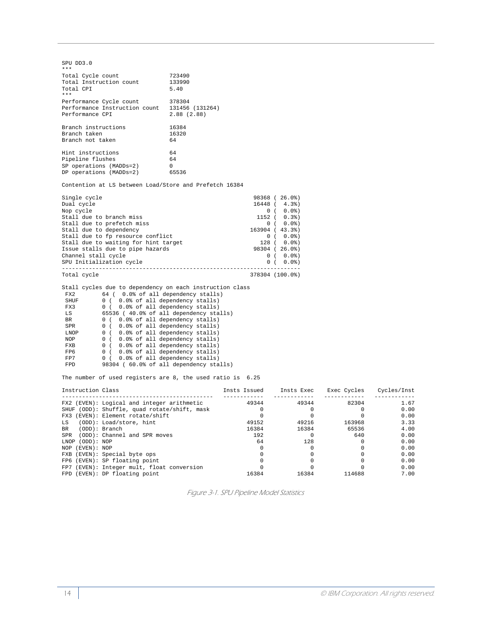| SPU DD3.0<br>$***$                                                                                                                                                                                                                                                                                                                                                                                                                                                                                                                                                                                                          |                                                                                                                                                                      |
|-----------------------------------------------------------------------------------------------------------------------------------------------------------------------------------------------------------------------------------------------------------------------------------------------------------------------------------------------------------------------------------------------------------------------------------------------------------------------------------------------------------------------------------------------------------------------------------------------------------------------------|----------------------------------------------------------------------------------------------------------------------------------------------------------------------|
| Total Cycle count<br>723490<br>Total Instruction count<br>133990<br>Total CPI<br>5.40<br>$\star\star\star$                                                                                                                                                                                                                                                                                                                                                                                                                                                                                                                  |                                                                                                                                                                      |
| Performance Cycle count<br>378304<br>Performance Instruction count 131456 (131264)<br>Performance CPI<br>2.88(2.88)                                                                                                                                                                                                                                                                                                                                                                                                                                                                                                         |                                                                                                                                                                      |
| Branch instructions<br>16384<br>Branch taken<br>16320<br>Branch not taken<br>64                                                                                                                                                                                                                                                                                                                                                                                                                                                                                                                                             |                                                                                                                                                                      |
| Hint instructions<br>64<br>Pipeline flushes<br>64<br>Pipeline Liasnes<br>SP operations (MADDs=2) 0<br>PP operations (MADDs=2) 65536                                                                                                                                                                                                                                                                                                                                                                                                                                                                                         |                                                                                                                                                                      |
| Contention at LS between Load/Store and Prefetch 16384                                                                                                                                                                                                                                                                                                                                                                                                                                                                                                                                                                      |                                                                                                                                                                      |
| Single cycle<br>Dual cycle<br>Nop cycle<br>Stall due to branch miss<br>Stall due to prefetch miss<br>Stall due to dependency<br>Stall due to fp resource conflict<br>Stall due to waiting for hint target<br>Issue stalls due to pipe hazards<br>Channel stall cycle<br>SPU Initialization cycle                                                                                                                                                                                                                                                                                                                            | 98368 (26.0%)<br>$16448$ ( $4.3%$ )<br>0 (0.0%<br>$1152$ ( $0.3%$ )<br>0(0.0%<br>163904 (43.3%)<br>0(0.0%<br>128 ( 0.0%)<br>98304 (26.0%)<br>0 (0.0%<br>0(0.0%       |
| Total cycle                                                                                                                                                                                                                                                                                                                                                                                                                                                                                                                                                                                                                 | 378304 (100.0%)                                                                                                                                                      |
| Stall cycles due to dependency on each instruction class<br>FX2<br>64 (0.0% of all dependency stalls)<br>SHUF<br>0 (0.0% of all dependency stalls)<br>0 (0.0% of all dependency stalls)<br>FX3<br>65536 (40.0% of all dependency stalls)<br>LS<br>0 (0.0% of all dependency stalls)<br><b>BR</b><br>SPR<br>0 (0.0% of all dependency stalls)<br>0 (0.0% of all dependency stalls)<br>0 (0.0% of all dependency stalls)<br>LNOP<br>NOP<br>0 (0.0% of all dependency stalls)<br>FXB<br>0 (0.0% of all dependency stalls)<br>FP6<br>FP7<br>0 (0.0% of all dependency stalls)<br>98304 ( 60.0% of all dependency stalls)<br>FPD |                                                                                                                                                                      |
| The number of used registers are 8, the used ratio is 6.25                                                                                                                                                                                                                                                                                                                                                                                                                                                                                                                                                                  |                                                                                                                                                                      |
| Instruction Class                                                                                                                                                                                                                                                                                                                                                                                                                                                                                                                                                                                                           | Insts Issued Insts Exec<br>____________                                                                                                                              |
| FX2 (EVEN): Logical and integer arithmetic<br>SHUF (ODD): Shuffle, quad rotate/shift, mask<br>FX3 (EVEN): Element rotate/shift<br>LS (ODD): Load/store, hint<br>(ODD): Branch<br><b>BR</b><br>SPR (ODD): Channel and SPR moves<br>LNOP (ODD): NOP<br>NOP (EVEN): NOP                                                                                                                                                                                                                                                                                                                                                        | 49344<br>49344<br>$\overline{0}$<br>$\overline{0}$<br>$\overline{0}$<br>0<br>49152<br>49216<br>16384<br>16384<br>192<br>$\overline{0}$<br>64<br>128<br>$\Omega$<br>0 |

<span id="page-21-0"></span>

| Instruction Class |                                              | Insts Issued | Insts Exec | Exec Cycles | Cycles/Inst |
|-------------------|----------------------------------------------|--------------|------------|-------------|-------------|
|                   |                                              | 49344        | 49344      | 82304       | 1.67        |
|                   | FX2 (EVEN): Logical and integer arithmetic   |              |            |             |             |
|                   | SHUF (ODD): Shuffle, quad rotate/shift, mask |              |            |             | 0.00        |
|                   | FX3 (EVEN): Element rotate/shift             |              |            |             | 0.00        |
| T.S               | (ODD): Load/store, hint                      | 49152        | 49216      | 163968      | 3.33        |
| BR                | (ODD): Branch                                | 16384        | 16384      | 65536       | 4.00        |
|                   | SPR (ODD): Channel and SPR moves             | 192          |            | 640         | 0.00        |
| LNOP (ODD): NOP   |                                              | 64           | 128        |             | 0.00        |
| NOP (EVEN): NOP   |                                              |              |            |             | 0.00        |
|                   | FXB (EVEN): Special byte ops                 |              |            |             | 0.00        |
|                   | FP6 (EVEN): SP floating point                |              |            |             | 0.00        |
|                   | FP7 (EVEN): Integer mult, float conversion   |              |            |             | 0.00        |
|                   | FPD (EVEN): DP floating point                | 16384        | 16384      | 114688      | 7.00        |

Figure 3-1. SPU Pipeline Model Statistics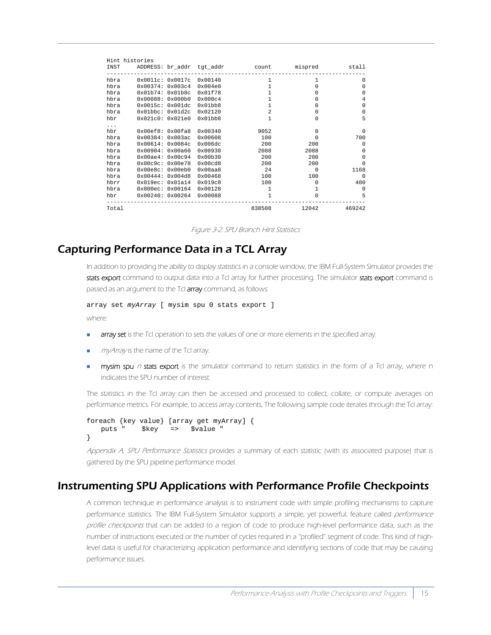|          | Hint histories               |                          |                  |                |          |              |
|----------|------------------------------|--------------------------|------------------|----------------|----------|--------------|
|          |                              |                          |                  |                | mispred  | stall        |
| hbra     | 0x0011c: 0x0017c 0x00140     |                          |                  | $\mathbf{1}$   | 1        | $\Omega$     |
| hbra     |                              | 0x00374: 0x003c4 0x004e0 |                  | $\mathbf{1}$   | $\Omega$ | <sup>0</sup> |
| hbra     | 0x01b74: 0x01b8c             |                          | 0x01f78          | $\mathbf{1}$   | $\Omega$ | $\Omega$     |
| hbra     | 0x00088: 0x000b0             |                          | 0x000c4          | 1              | $\Omega$ | 4            |
| hbra     |                              | 0x0015c: 0x001dc         | 0x01bb8          | $\mathbf{1}$   | $\Omega$ | $\Omega$     |
| hbra     | 0x01bbc: 0x01d2c             |                          | 0x02120          | $\overline{a}$ | 0        | 0            |
| hbr      |                              | 0x021c0: 0x021e0         | 0x01bb8          | $\mathbf{1}$   | $\Omega$ | 5            |
| $\cdots$ |                              |                          |                  |                |          |              |
| hbr      |                              | 0x00ef8: 0x00fa8         | $0 \times 00340$ | 9052           | $\Omega$ | $\Omega$     |
| hbra     |                              | 0x00384: 0x003ac 0x00608 |                  | 100            | $\Omega$ | 700          |
| hbra     |                              | 0x00614:0x0084c          | 0x006dc          | 200            | 200      | $\Omega$     |
| hbra     |                              | 0x00904: 0x00a60         | $0 \times 00930$ | 2088           | 2088     | $\Omega$     |
| hbra     | 0x00ae4: 0x00c94             |                          | 0x00b30          | 200            | 200      | $\Omega$     |
| hbra     | 0x00c9c: 0x00e78             |                          | 0x00cd8          | 200            | 200      | $\Omega$     |
| hbra     | 0x00e8c: 0x00eb0             |                          | 0x00aa8          | 24             | $\Omega$ | 1168         |
| hbra     | 0x00444: 0x004d8             |                          | 0x00468          | 100            | 100      | $\Omega$     |
| hbrr     | 0x019ec: 0x01a14             |                          | 0x019c8          | 100            | $\Omega$ | 400          |
| hbra     | 0x000ec: 0x00164             |                          | 0x00128          | $\overline{1}$ | 1        | $\Omega$     |
|          | hbr 0x00240: 0x00264 0x00088 |                          |                  | $\mathbf{1}$   | $\Omega$ | 5            |
| Total    |                              |                          |                  | 838508         | 12042    | 469242       |

Figure 3-2. SPU Branch Hint Statistics

## <span id="page-22-2"></span><span id="page-22-0"></span>Capturing Performance Data in a TCL Array

In addition to providing the ability to display statistics in a console window, the IBM Full-System Simulator provides the stats export command to output data into a Tcl array for further processing. The simulator stats export command is passed as an argument to the Tcl **array** command, as follows:

```
array set myArray [ mysim spu 0 stats export ]
where:
```
- **array set** is the Tcl operation to sets the values of one or more elements in the specified array.
- **my Array is the name of the Tcl array.**
- mysim spu  $n$  stats export is the simulator command to return statistics in the form of a Tcl array, where n indicates the SPU number of interest.

The statistics in the Tcl array can then be accessed and processed to collect, collate, or compute averages on performance metrics. For example, to access array contents, The following sample code iterates through the Tcl array:

```
foreach {key value} [array get myArray] {
   puts " $key => $value "
}
```
[Appendix A, SPU Performance Statistics](#page-40-1) provides a summary of each statistic (with its associated purpose) that is gathered by the SPU pipeline performance model.

### <span id="page-22-3"></span><span id="page-22-1"></span>Instrumenting SPU Applications with Performance Profile Checkpoints

A common technique in performance analysis is to instrument code with simple profiling mechanisms to capture performance statistics. The IBM Full-System Simulator supports a simple, yet powerful, feature called performance profile checkpoints that can be added to a region of code to produce high-level performance data, such as the number of instructions executed or the number of cycles required in a "profiled" segment of code. This kind of highlevel data is useful for characterizing application performance and identifying sections of code that may be causing performance issues.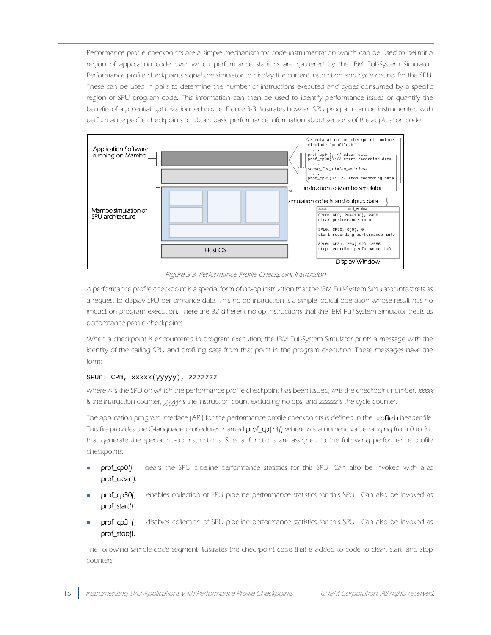Performance profile checkpoints are a simple mechanism for code instrumentation which can be used to delimit a region of application code over which performance statistics are gathered by the IBM Full-System Simulator. Performance profile checkpoints signal the simulator to display the current instruction and cycle counts for the SPU. These can be used in pairs to determine the number of instructions executed and cycles consumed by a specific region of SPU program code. This information can then be used to identify performance issues or quantify the benefits of a potential optimization technique. [Figure 3-3](#page-23-0) illustrates how an SPU program can be instrumented with performance profile checkpoints to obtain basic performance information about sections of the application code:



Figure 3-3. Performance Profile Checkpoint Instruction

<span id="page-23-0"></span>A performance profile checkpoint is a special form of no-op instruction that the IBM Full-System Simulator interprets as a request to display SPU performance data. This no-op instruction is a simple logical operation whose result has no impact on program execution. There are 32 different no-op instructions that the IBM Full-System Simulator treats as performance profile checkpoints.

When a checkpoint is encountered in program execution, the IBM Full-System Simulator prints a message with the identity of the calling SPU and profiling data from that point in the program execution. These messages have the form:

#### SPUn: CPm, xxxxx(yyyyy), zzzzzzz

where  $n$  is the SPU on which the performance profile checkpoint has been issued, m is the checkpoint number, xxxxx is the instruction counter, yyyy is the instruction count excluding no-ops, and zzzzzzi is the cycle counter.

The application program interface (API) for the performance profile checkpoints is defined in the profile.h header file. This file provides the C-language procedures, named  $prof[\alpha]$  where n is a numeric value ranging from 0 to 31, that generate the special no-op instructions. Special functions are assigned to the following performance profile checkpoints:

- prof\_cp0() clears the SPU pipeline performance statistics for this SPU. Can also be invoked with alias prof\_clear().
- prof\_cp30() enables collection of SPU pipeline performance statistics for this SPU. Can also be invoked as prof\_start().
- prof\_cp31() disables collection of SPU pipeline performance statistics for this SPU. Can also be invoked as prof\_stop().

The following sample code segment illustrates the checkpoint code that is added to code to clear, start, and stop counters: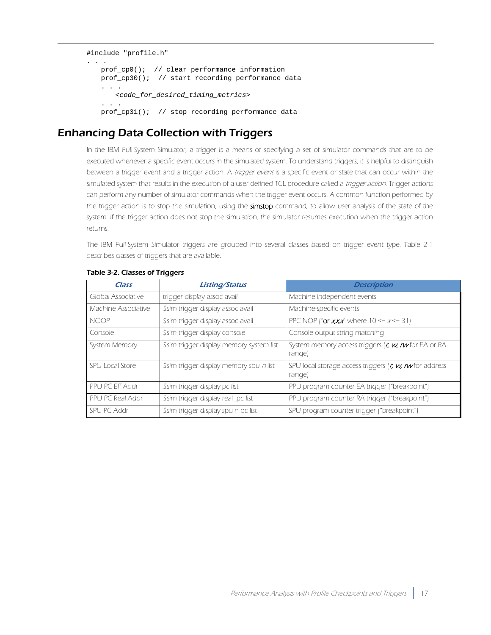```
#include "profile.h"
. . .
   prof_cp0(); // clear performance information
   prof_cp30(); // start recording performance data
   . . .
      <code_for_desired_timing_metrics>
   . . .
   prof_cp31(); // stop recording performance data
```
## <span id="page-24-0"></span>Enhancing Data Collection with Triggers

In the IBM Full-System Simulator, a trigger is a means of specifying a set of simulator commands that are to be executed whenever a specific event occurs in the simulated system. To understand triggers, it is helpful to distinguish between a trigger event and a trigger action. A trigger event is a specific event or state that can occur within the simulated system that results in the execution of a user-defined TCL procedure called a trigger action. Trigger actions can perform any number of simulator commands when the trigger event occurs. A common function performed by the trigger action is to stop the simulation, using the simstop command, to allow user analysis of the state of the system. If the trigger action does not stop the simulation, the simulator resumes execution when the trigger action returns.

The IBM Full-System Simulator triggers are grouped into several classes based on trigger event type. Table 2-1 describes classes of triggers that are available.

| Class                      | <b>Listing/Status</b>                    | <b>Description</b>                                               |
|----------------------------|------------------------------------------|------------------------------------------------------------------|
| <b>Global Associative</b>  | trigger display assoc avail              | Machine-independent events                                       |
| <b>Machine Associative</b> | \$sim trigger display assoc avail        | Machine-specific events                                          |
| <b>NOOP</b>                | \$sim trigger display assoc avail        | PPC NOP (" <b>or xxx"</b> where $10 \le x \le 31$ )              |
| Console                    | \$sim trigger display console            | Console output string matching                                   |
| System Memory              | \$sim trigger display memory system list | System memory access triggers (r, w, rwfor EA or RA<br>range)    |
| <b>SPU Local Store</b>     | \$sim trigger display memory spu n list  | SPU local storage access triggers (r, w, n for address<br>range) |
| <b>PPU PC Eff Addr</b>     | \$sim trigger display pc list            | PPU program counter EA trigger ("breakpoint")                    |
| PPU PC Real Addr           | \$sim trigger display real_pc list       | PPU program counter RA trigger ("breakpoint")                    |
| <b>SPU PC Addr</b>         | \$sim trigger display spu n pc list      | SPU program counter trigger ("breakpoint")                       |

#### Table 3-2. Classes of Triggers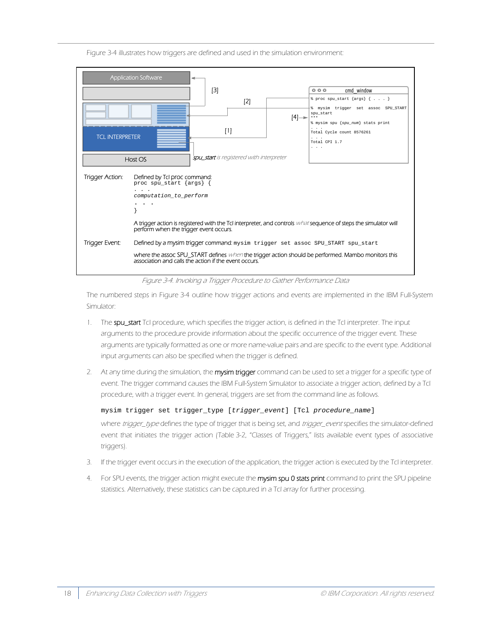Figure 3-4 illustrates how triggers are defined and used in the simulation environment:



Figure 3-4. Invoking a Trigger Procedure to Gather Performance Data

The numbered steps in Figure 3-4 outline how trigger actions and events are implemented in the IBM Full-System Simulator:

- 1. The spu\_start Tcl procedure, which specifies the trigger action, is defined in the Tcl interpreter. The input arguments to the procedure provide information about the specific occurrence of the trigger event. These arguments are typically formatted as one or more name-value pairs and are specific to the event type. Additional input arguments can also be specified when the trigger is defined.
- 2. At any time during the simulation, the mysim trigger command can be used to set a trigger for a specific type of event. The trigger command causes the IBM Full-System Simulator to associate a trigger action, defined by a Tcl procedure, with a trigger event. In general, triggers are set from the command line as follows.

mysim trigger set trigger\_type [*trigger\_event*] [Tcl *procedure\_name*]

where trigger\_type defines the type of trigger that is being set, and trigger\_event specifies the simulator-defined event that initiates the trigger action (Table 3-2, "Classes of Triggers," lists available event types of associative triggers).

- 3. If the trigger event occurs in the execution of the application, the trigger action is executed by the Tcl interpreter.
- 4. For SPU events, the trigger action might execute the mysim spu 0 stats print command to print the SPU pipeline statistics. Alternatively, these statistics can be captured in a Tcl array for further processing.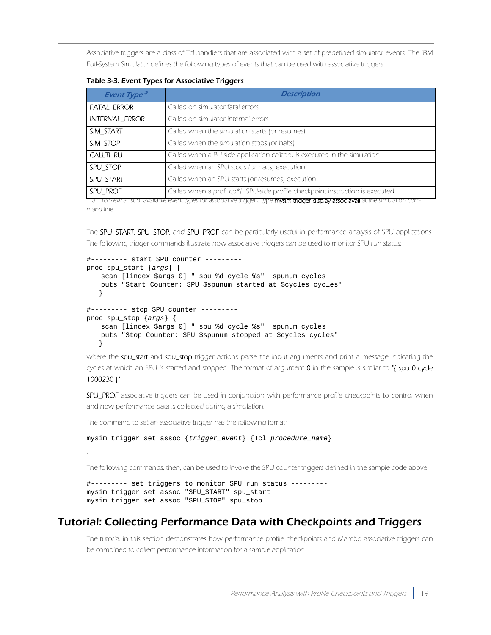Associative triggers are a class of Tcl handlers that are associated with a set of predefined simulator events. The IBM Full-System Simulator defines the following types of events that can be used with associative triggers:

| <b>Event Type<sup>a</sup></b> | <b>Description</b>                                                            |  |  |
|-------------------------------|-------------------------------------------------------------------------------|--|--|
| <b>FATAL ERROR</b>            | Called on simulator fatal errors.                                             |  |  |
| <b>INTERNAL ERROR</b>         | Called on simulator internal errors.                                          |  |  |
| SIM START                     | Called when the simulation starts (or resumes).                               |  |  |
| SIM STOP                      | Called when the simulation stops (or halts).                                  |  |  |
| <b>CALLTHRU</b>               | Called when a PU-side application callthru is executed in the simulation.     |  |  |
| SPU STOP                      | Called when an SPU stops (or halts) execution.                                |  |  |
| SPU START                     | Called when an SPU starts (or resumes) execution.                             |  |  |
| SPU PROF                      | Called when a prof_cp*() SPU-side profile checkpoint instruction is executed. |  |  |

Table 3-3. Event Types for Associative Triggers

a. To view a list of available event types for associative triggers, type mysim trigger display assoc avail at the simulation command line.

The SPU\_START, SPU\_STOP, and SPU\_PROF can be particularly useful in performance analysis of SPU applications. The following trigger commands illustrate how associative triggers can be used to monitor SPU run status:

```
#--------- start SPU counter ---------
proc spu_start {args} {
   scan [lindex $args 0] " spu %d cycle %s" spunum cycles
   puts "Start Counter: SPU $spunum started at $cycles cycles"
    }
#--------- stop SPU counter ---------
proc spu_stop {args} {
   scan [lindex $args 0] " spu %d cycle %s" spunum cycles
   puts "Stop Counter: SPU $spunum stopped at $cycles cycles"
    }
```
where the spu\_start and spu\_stop trigger actions parse the input arguments and print a message indicating the cycles at which an SPU is started and stopped. The format of argument 0 in the sample is similar to "{ spu 0 cycle 1000230 }".

SPU\_PROF associative triggers can be used in conjunction with performance profile checkpoints to control when and how performance data is collected during a simulation.

The command to set an associative trigger has the following fomat:

.

```
mysim trigger set assoc {trigger_event} {Tcl procedure_name}
```
The following commands, then, can be used to invoke the SPU counter triggers defined in the sample code above:

```
#--------- set triggers to monitor SPU run status ---------
mysim trigger set assoc "SPU_START" spu_start
mysim trigger set assoc "SPU_STOP" spu_stop
```
### <span id="page-26-0"></span>Tutorial: Collecting Performance Data with Checkpoints and Triggers

The tutorial in this section demonstrates how performance profile checkpoints and Mambo associative triggers can be combined to collect performance information for a sample application.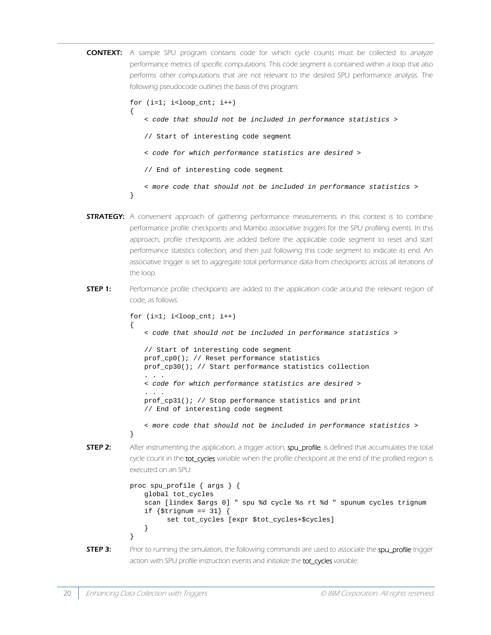**CONTEXT:** A sample SPU program contains code for which cycle counts must be collected to analyze performance metrics of specific computations. This code segment is contained within a loop that also performs other computations that are not relevant to the desired SPU performance analysis. The following pseudocode outlines the basis of this program:

```
for (i=1; i<loop_cnt; i++){
   < code that should not be included in performance statistics >
   // Start of interesting code segment
   < code for which performance statistics are desired >
   // End of interesting code segment
   < more code that should not be included in performance statistics >
}
```
- **STRATEGY:** A convenient approach of gathering performance measurements in this context is to combine performance profile checkpoints and Mambo associative triggers for the SPU profiling events. In this approach, profile checkpoints are added before the applicable code segment to reset and start performance statistics collection, and then just following this code segment to indicate its end. An associative trigger is set to aggregate total performance data from checkpoints across all iterations of the loop.
- **STEP 1:** Performance profile checkpoints are added to the application code around the relevant region of code, as follows:

for  $(i=1; i$ { < *code that should not be included in performance statistics* > // Start of interesting code segment prof\_cp0(); // Reset performance statistics prof\_cp30(); // Start performance statistics collection . . . < *code for which performance statistics are desired* > . . . prof\_cp31(); // Stop performance statistics and print // End of interesting code segment

- < *more code that should not be included in performance statistics* >
- 

}

**STEP 2:** After instrumenting the application, a trigger action, spu\_profile, is defined that accumulates the total cycle count in the tot\_cycles variable when the profile checkpoint at the end of the profiled region is executed on an SPU:

```
proc spu_profile { args } {
   global tot_cycles
   scan [lindex $args 0] " spu %d cycle %s rt %d " spunum cycles trignum
   if {$trignum == 31} {
          set tot_cycles [expr $tot_cycles+$cycles]
   }
}
```
**STEP 3:** Prior to running the simulation, the following commands are used to associate the spu\_profile trigger action with SPU profile instruction events and initialize the tot\_cycles variable: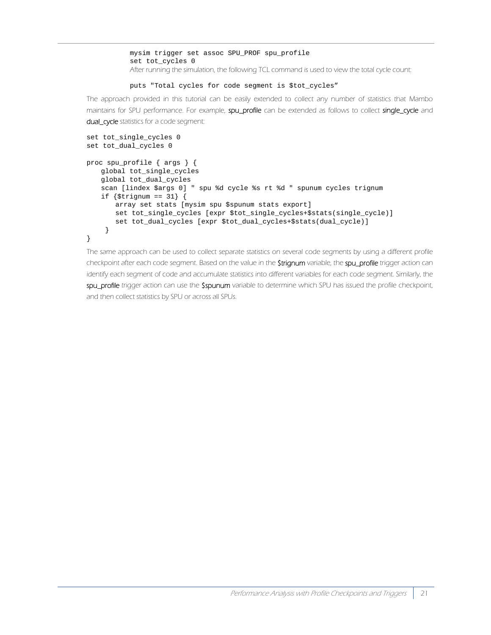mysim trigger set assoc SPU\_PROF spu\_profile set tot\_cycles 0 After running the simulation, the following TCL command is used to view the total cycle count:

puts "Total cycles for code segment is \$tot\_cycles"

The approach provided in this tutorial can be easily extended to collect any number of statistics that Mambo maintains for SPU performance. For example, spu\_profile can be extended as follows to collect single\_cycle and dual\_cycle statistics for a code segment:

```
set tot_single_cycles 0
set tot_dual_cycles 0
proc spu_profile { args } {
   global tot_single_cycles
   global tot_dual_cycles
   scan [lindex $args 0] " spu %d cycle %s rt %d " spunum cycles trignum
   if {$trignum == 31} {
      array set stats [mysim spu $spunum stats export]
       set tot_single_cycles [expr $tot_single_cycles+$stats(single_cycle)]
       set tot_dual_cycles [expr $tot_dual_cycles+$stats(dual_cycle)]
     }
}
```
The same approach can be used to collect separate statistics on several code segments by using a different profile checkpoint after each code segment. Based on the value in the **\$trignum** variable, the spu\_profile trigger action can identify each segment of code and accumulate statistics into different variables for each code segment. Similarly, the spu\_profile trigger action can use the \$spunum variable to determine which SPU has issued the profile checkpoint, and then collect statistics by SPU or across all SPUs.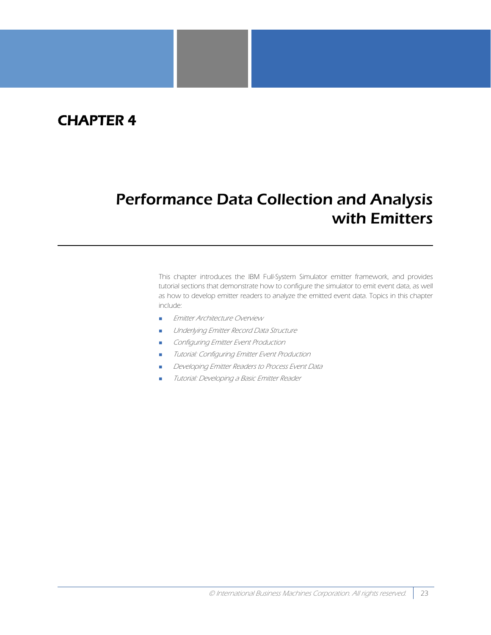## CHAPTER 4

# <span id="page-30-1"></span><span id="page-30-0"></span>Performance Data Collection and Analysis with Emitters

This chapter introduces the IBM Full-System Simulator emitter framework, and provides tutorial sections that demonstrate how to configure the simulator to emit event data, as well as how to develop emitter readers to analyze the emitted event data. Topics in this chapter include:

- **[Emitter Architecture Overview](#page-31-0)**
- [Underlying Emitter Record Data Structure](#page-32-0)
- **[Configuring Emitter Event Production](#page-32-1)**
- [Tutorial: Configuring Emitter Event Production](#page-33-3)
- [Developing Emitter Readers to Process Event Data](#page-34-0)
- [Tutorial: Developing a Basic Emitter Reader](#page-35-0)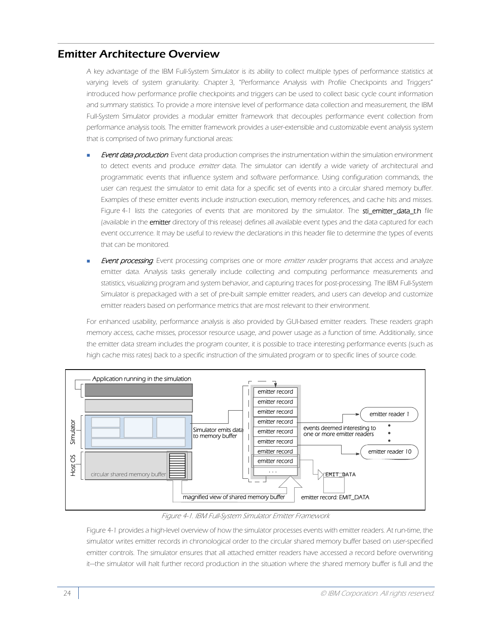## <span id="page-31-0"></span>Emitter Architecture Overview

A key advantage of the IBM Full-System Simulator is its ability to collect multiple types of performance statistics at varying levels of system granularity. [Chapter 3, "Performance Analysis with Profile Checkpoints and Triggers"](#page-18-1) introduced how performance profile checkpoints and triggers can be used to collect basic cycle count information and summary statistics. To provide a more intensive level of performance data collection and measurement, the IBM Full-System Simulator provides a modular emitter framework that decouples performance event collection from performance analysis tools. The emitter framework provides a user-extensible and customizable event analysis system that is comprised of two primary functional areas:

- Event data production. Event data production comprises the instrumentation within the simulation environment to detect events and produce emitter data. The simulator can identify a wide variety of architectural and programmatic events that influence system and software performance. Using configuration commands, the user can request the simulator to emit data for a specific set of events into a circular shared memory buffer. Examples of these emitter events include instruction execution, memory references, and cache hits and misses. [Figure 4-1](#page-31-1) lists the categories of events that are monitored by the simulator. The sti\_emitter\_data\_t.h file (available in the **emitter** directory of this release) defines all available event types and the data captured for each event occurrence. It may be useful to review the declarations in this header file to determine the types of events that can be monitored.
- **Event processing**. Event processing comprises one or more emitter reader programs that access and analyze emitter data. Analysis tasks generally include collecting and computing performance measurements and statistics, visualizing program and system behavior, and capturing traces for post-processing. The IBM Full-System Simulator is prepackaged with a set of pre-built sample emitter readers, and users can develop and customize emitter readers based on performance metrics that are most relevant to their environment.

For enhanced usability, performance analysis is also provided by GUI-based emitter readers. These readers graph memory access, cache misses, processor resource usage, and power usage as a function of time. Additionally, since the emitter data stream includes the program counter, it is possible to trace interesting performance events (such as high cache miss rates) back to a specific instruction of the simulated program or to specific lines of source code.



#### Figure 4-1. IBM Full-System Simulator Emitter Framework

<span id="page-31-1"></span>[Figure 4-1](#page-31-1) provides a high-level overview of how the simulator processes events with emitter readers. At run-time, the simulator writes emitter records in chronological order to the circular shared memory buffer based on user-specified emitter controls. The simulator ensures that all attached emitter readers have accessed a record before overwriting it—the simulator will halt further record production in the situation where the shared memory buffer is full and the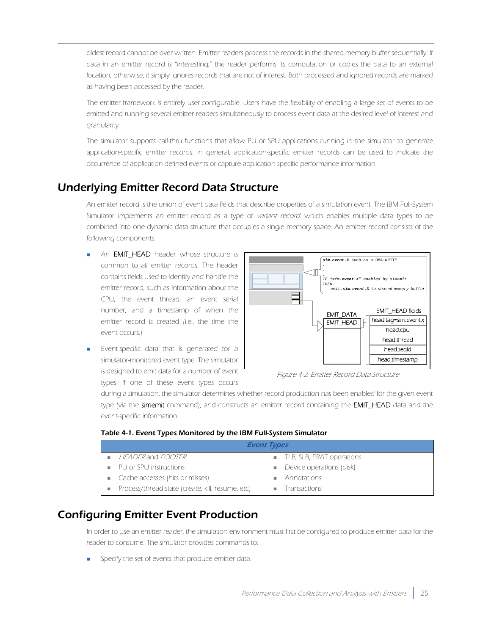oldest record cannot be over-written. Emitter readers process the records in the shared memory buffer sequentially. If data in an emitter record is "interesting," the reader performs its computation or copies the data to an external location; otherwise, it simply ignores records that are not of interest. Both processed and ignored records are marked as having been accessed by the reader.

The emitter framework is entirely user-configurable. Users have the flexibility of enabling a large set of events to be emitted and running several emitter readers simultaneously to process event data at the desired level of interest and granularity.

The simulator supports call-thru functions that allow PU or SPU applications running in the simulator to generate application-specific emitter records. In general, application-specific emitter records can be used to indicate the occurrence of application-defined events or capture application-specific performance information.

## <span id="page-32-0"></span>Underlying Emitter Record Data Structure

An emitter record is the union of event data fields that describe properties of a simulation event. The IBM Full-System Simulator implements an emitter record as a type of variant record, which enables multiple data types to be combined into one dynamic data structure that occupies a single memory space. An emitter record consists of the following components:

- An **EMIT\_HEAD** header whose structure is common to all emitter records. The header contains fields used to identify and handle the emitter record, such as information about the CPU, the event thread, an event serial number, and a timestamp of when the emitter record is created (i.e., the time the event occurs.)
- Event-specific data that is generated for a simulator-monitored event type. The simulator is designed to emit data for a number of event types. If one of these event types occurs



Figure 4-2. Emitter Record Data Structure

during a simulation, the simulator determines whether record production has been enabled for the given event type (via the simemit command), and constructs an emitter record containing the EMIT\_HEAD data and the event-specific information.

#### Table 4-1. Event Types Monitored by the IBM Full-System Simulator

| <b>Event Types</b> |                                                  |  |                                         |  |
|--------------------|--------------------------------------------------|--|-----------------------------------------|--|
|                    | HEADER and FOOTER                                |  | ■ TLB, SLB, ERAT operations             |  |
|                    | ■ PU or SPU instructions                         |  | $\blacksquare$ Device operations (disk) |  |
|                    | Cache accesses (hits or misses)                  |  | Annotations                             |  |
|                    | Process/thread state (create, kill, resume, etc) |  | <b>Transactions</b>                     |  |

## <span id="page-32-1"></span>Configuring Emitter Event Production

In order to use an emitter reader, the simulation environment must first be configured to produce emitter data for the reader to consume. The simulator provides commands to:

Specify the set of events that produce emitter data.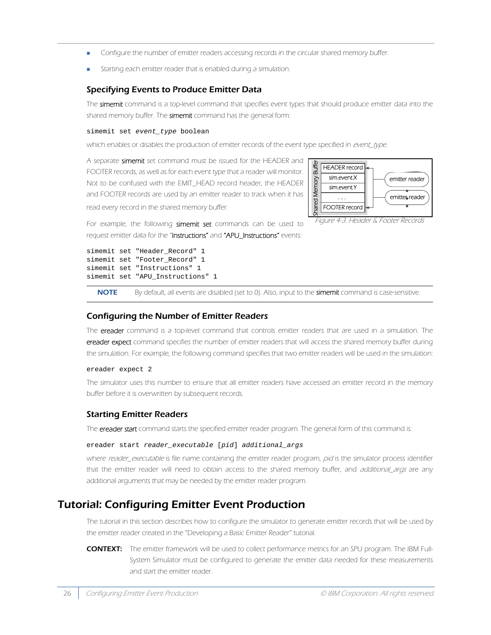- Configure the number of emitter readers accessing records in the circular shared memory buffer.
- Starting each emitter reader that is enabled during a simulation.

#### <span id="page-33-0"></span>Specifying Events to Produce Emitter Data

The simemit command is a top-level command that specifies event types that should produce emitter data into the shared memory buffer. The simemit command has the general form:

#### simemit set *event\_type* boolean

which enables or disables the production of emitter records of the event type specified in event\_type.

A separate simemit set command must be issued for the HEADER and FOOTER records, as well as for each event type that a reader will monitor. Not to be confused with the EMIT\_HEAD record header, the HEADER and FOOTER records are used by an emitter reader to track when it has read every record in the shared memory buffer.



For example, the following simemit set commands can be used to request emitter data for the "Instructions" and "APU\_Instructions" events:

```
simemit set "Header_Record" 1
simemit set "Footer_Record" 1
simemit set "Instructions" 1
simemit set "APU_Instructions" 1
```
NOTE By default, all events are disabled (set to 0). Also, input to the simemit command is case-sensitive.

#### <span id="page-33-1"></span>Configuring the Number of Emitter Readers

The ereader command is a top-level command that controls emitter readers that are used in a simulation. The ereader expect command specifies the number of emitter readers that will access the shared memory buffer during the simulation. For example, the following command specifies that two emitter readers will be used in the simulation:

#### ereader expect 2

The simulator uses this number to ensure that all emitter readers have accessed an emitter record in the memory buffer before it is overwritten by subsequent records.

#### <span id="page-33-2"></span>Starting Emitter Readers

The ereader start command starts the specified emitter reader program. The general form of this command is:

#### ereader start *reader\_executable* [*pid*] *additional\_args*

where reader\_executable is file name containing the emitter reader program, pid is the simulator process identifier that the emitter reader will need to obtain access to the shared memory buffer, and *additional\_args* are any additional arguments that may be needed by the emitter reader program.

## <span id="page-33-3"></span>Tutorial: Configuring Emitter Event Production

The tutorial in this section describes how to configure the simulator to generate emitter records that will be used by the emitter reader created in the ["Developing a Basic Emitter Reader" tutorial](#page-35-0).

CONTEXT: The emitter framework will be used to collect performance metrics for an SPU program. The IBM Full-System Simulator must be configured to generate the emitter data needed for these measurements and start the emitter reader.

Figure 4-3. Header & Footer Records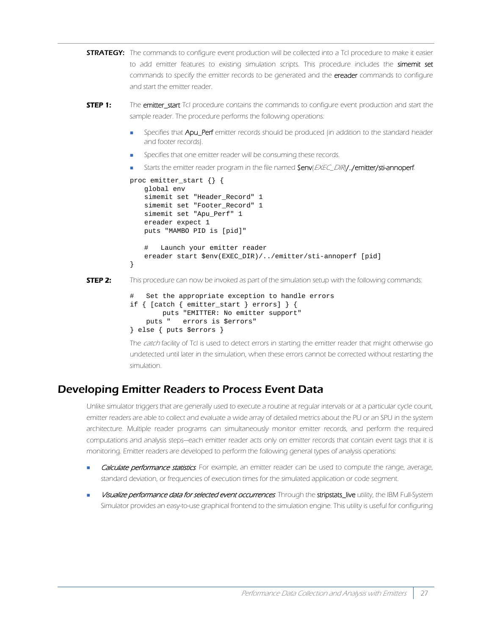```
STRATEGY: The commands to configure event production will be collected into a Tcl procedure to make it easier
             to add emitter features to existing simulation scripts. This procedure includes the simemit set
             commands to specify the emitter records to be generated and the ereader commands to configure
             and start the emitter reader.
```
- **STEP 1:** The emitter\_start Tcl procedure contains the commands to configure event production and start the sample reader. The procedure performs the following operations:
	- Specifies that Apu\_Perf emitter records should be produced (in addition to the standard header and footer records).
	- Specifies that one emitter reader will be consuming these records.
	- Starts the emitter reader program in the file named Senv(EXEC\_DIR).../emitter/sti-annoperf.

```
proc emitter_start {} {
              global env
              simemit set "Header_Record" 1
              simemit set "Footer_Record" 1
              simemit set "Apu_Perf" 1
              ereader expect 1
              puts "MAMBO PID is [pid]"
               # Launch your emitter reader
              ereader start $env(EXEC_DIR)/../emitter/sti-annoperf [pid]
           }
STEP 2: This procedure can now be invoked as part of the simulation setup with the following commands:
```

```
Set the appropriate exception to handle errors
if { [catch { emitter_start } errors] } {
        puts "EMITTER: No emitter support"
     puts " errors is $errors"
} else { puts $errors }
```
The catch facility of Tcl is used to detect errors in starting the emitter reader that might otherwise go undetected until later in the simulation, when these errors cannot be corrected without restarting the simulation.

### <span id="page-34-0"></span>Developing Emitter Readers to Process Event Data

Unlike simulator triggers that are generally used to execute a routine at regular intervals or at a particular cycle count, emitter readers are able to collect and evaluate a wide array of detailed metrics about the PU or an SPU in the system architecture. Multiple reader programs can simultaneously monitor emitter records, and perform the required computations and analysis steps—each emitter reader acts only on emitter records that contain event tags that it is monitoring. Emitter readers are developed to perform the following general types of analysis operations:

- Calculate performance statistics. For example, an emitter reader can be used to compute the range, average, standard deviation, or frequencies of execution times for the simulated application or code segment.
- Visualize performance data for selected event occurrences. Through the stripstats\_live utility, the IBM Full-System Simulator provides an easy-to-use graphical frontend to the simulation engine. This utility is useful for configuring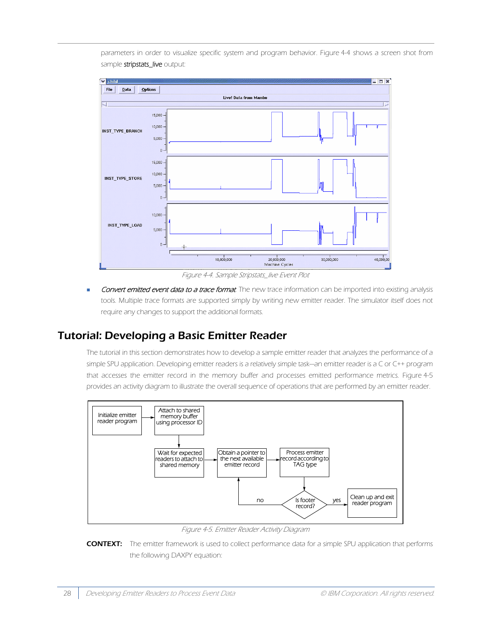parameters in order to visualize specific system and program behavior. Figure 4-4 shows a screen shot from sample stripstats\_live output:



Figure 4-4. Sample Stripstats live Event Plot

Convert emitted event data to a trace format. The new trace information can be imported into existing analysis tools. Multiple trace formats are supported simply by writing new emitter reader. The simulator itself does not require any changes to support the additional formats.

## <span id="page-35-0"></span>Tutorial: Developing a Basic Emitter Reader

The tutorial in this section demonstrates how to develop a sample emitter reader that analyzes the performance of a simple SPU application. Developing emitter readers is a relatively simple task—an emitter reader is a C or C++ program that accesses the emitter record in the memory buffer and processes emitted performance metrics. Figure 4-5 provides an activity diagram to illustrate the overall sequence of operations that are performed by an emitter reader.



Figure 4-5. Emitter Reader Activity Diagram

CONTEXT: The emitter framework is used to collect performance data for a simple SPU application that performs the following DAXPY equation: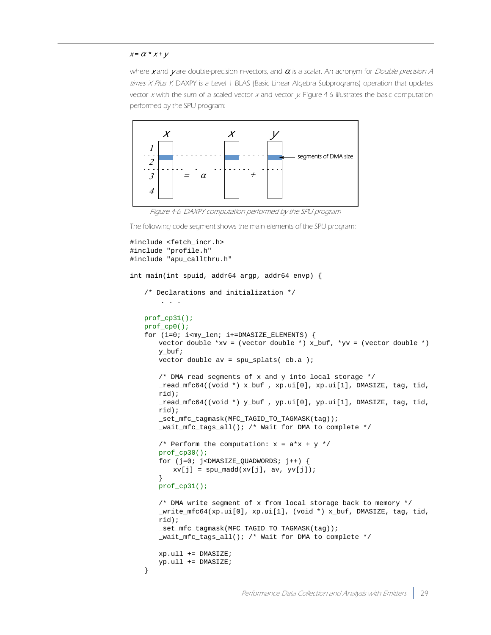#### $x = \alpha \cdot x + y$

where x and y are double-precision n-vectors, and  $\alpha$  is a scalar. An acronym for *Double precision A* times  $X$  Plus Y, DAXPY is a Level 1 BLAS (Basic Linear Algebra Subprograms) operation that updates vector  $x$  with the sum of a scaled vector  $x$  and vector  $y$ . [Figure 4-6](#page-36-0) illustrates the basic computation performed by the SPU program:



Figure 4-6. DAXPY computation performed by the SPU program

<span id="page-36-0"></span>The following code segment shows the main elements of the SPU program:

```
#include <fetch_incr.h>
#include "profile.h"
#include "apu_callthru.h"
int main(int spuid, addr64 argp, addr64 envp) {
   /* Declarations and initialization */
        . . .
   prof_cp31();
   prof_cp0();
   for (i=0; i<my len; i+=DMASIZE ELEMENTS) {
       vector double *xv = (vector double *) x_buf, *yv = (vector double *)
       y_buf;
       vector double av = spu splats(ch.a);
       /* DMA read segments of x and y into local storage */
       read mfc64((void *) x but, xp.ui[0], xp.ui[1], DMASIZE, tag, tid,rid);
       _read_mfc64((void *) y_buf , yp.ui[0], yp.ui[1], DMASIZE, tag, tid, 
       rid);
       _set_mfc_tagmask(MFC_TAGID_TO_TAGMASK(tag));
       _wait_mfc_tags_all(); /* Wait for DMA to complete */
       /* Perform the computation: x = a*x + y */
       prof_cp30();
       for (j=0; j<DMASIZE_QUADWORDS; j++) {
          xv[j] = spu_madd(xv[j], av, yv[j]);}
       prof_cp31();
       /* DMA write segment of x from local storage back to memory */
       _write_mfc64(xp.ui[0], xp.ui[1], (void *) x_buf, DMASIZE, tag, tid, 
       rid);
       _set_mfc_tagmask(MFC_TAGID_TO_TAGMASK(tag));
       _wait_mfc_tags_all(); /* Wait for DMA to complete */
       xp.ull += DMASIZE;
       yp.ull += DMASIZE;
   }
```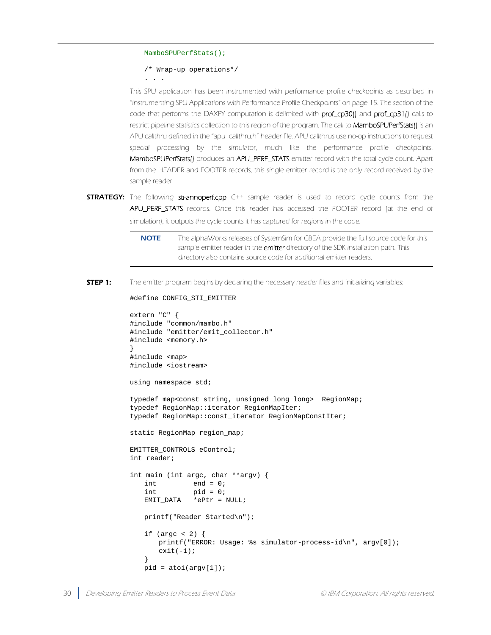#### MamboSPUPerfStats();

```
/* Wrap-up operations*/
```
. . .

This SPU application has been instrumented with performance profile checkpoints as described in ["Instrumenting SPU Applications with Performance Profile Checkpoints" on page 15](#page-22-3). The section of the code that performs the DAXPY computation is delimited with prof\_cp30() and prof\_cp31() calls to restrict pipeline statistics collection to this region of the program. The call to MamboSPUPerfStats() is an APU callthru defined in the "apu\_callthru.h" header file. APU callthrus use no-op instructions to request special processing by the simulator, much like the performance profile checkpoints. MamboSPUPerfStats() produces an APU\_PERF\_STATS emitter record with the total cycle count. Apart from the HEADER and FOOTER records, this single emitter record is the only record received by the sample reader.

- **STRATEGY:** The following sti-annoperf.cpp C++ sample reader is used to record cycle counts from the APU\_PERF\_STATS records. Once this reader has accessed the FOOTER record (at the end of simulation), it outputs the cycle counts it has captured for regions in the code.
	- **NOTE** The alphaWorks releases of SystemSim for CBEA provide the full source code for this sample emitter reader in the emitter directory of the SDK installation path. This directory also contains source code for additional emitter readers.
- **STEP 1:** The emitter program begins by declaring the necessary header files and initializing variables:

```
#define CONFIG_STI_EMITTER
```

```
extern "C" {
#include "common/mambo.h"
#include "emitter/emit_collector.h"
#include <memory.h>
}
#include <map>
#include <iostream>
using namespace std;
typedef map<const string, unsigned long long> RegionMap;
typedef RegionMap::iterator RegionMapIter;
typedef RegionMap::const_iterator RegionMapConstIter;
static RegionMap region_map;
EMITTER_CONTROLS eControl;
int reader;
int main (int argc, char **argv) {
   int end = 0;
   int pid = 0;
   EMIT_DATA *ePtr = NULL;
   printf("Reader Started\n");
   if (argc < 2) {
      printf("ERROR: Usage: %s simulator-process-id\n", argv[0]);
      exit(-1);}
   pid = atoi(argv[1]);
```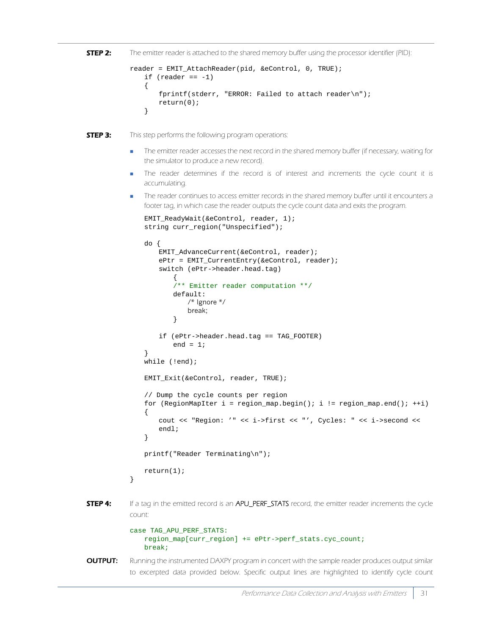```
STEP 2: The emitter reader is attached to the shared memory buffer using the processor identifier (PID):
```

```
reader = EMIT_AttachReader(pid, &eControl, 0, TRUE);
   if (reader == -1){
       fprintf(stderr, "ERROR: Failed to attach reader\n");
       return(0);
   }
```
**STEP 3:** This step performs the following program operations:

- The emitter reader accesses the next record in the shared memory buffer (if necessary, waiting for the simulator to produce a new record).
- The reader determines if the record is of interest and increments the cycle count it is accumulating.
- The reader continues to access emitter records in the shared memory buffer until it encounters a footer tag, in which case the reader outputs the cycle count data and exits the program.

```
EMIT_ReadyWait(&eControl, reader, 1);
   string curr_region("Unspecified");
   do {
       EMIT_AdvanceCurrent(&eControl, reader);
       ePtr = EMIT_CurrentEntry(&eControl, reader);
       switch (ePtr->header.head.tag) 
           {
           /** Emitter reader computation **/
           default:
               /* Ignore */
               break;
           }
       if (ePtr->header.head.tag == TAG_FOOTER)
           end = 1;}
   while (!end);
   EMIT_Exit(&eControl, reader, TRUE);
   // Dump the cycle counts per region
   for (RegionMapIter i = \text{region\_map}.\text{begin}(i; i = \text{region\_map}.\text{end}(i; i++){
       cout << "Region: '" << i->first << "', Cycles: " << i->second << 
       endl;
   }
   printf("Reader Terminating\n");
   return(1);
}
```
**STEP 4:** If a tag in the emitted record is an APU\_PERF\_STATS record, the emitter reader increments the cycle count:

```
case TAG_APU_PERF_STATS:
   region_map[curr_region] += ePtr->perf_stats.cyc_count;
   break;
```
**OUTPUT:** Running the instrumented DAXPY program in concert with the sample reader produces output similar to excerpted data provided below. Specific output lines are highlighted to identify cycle count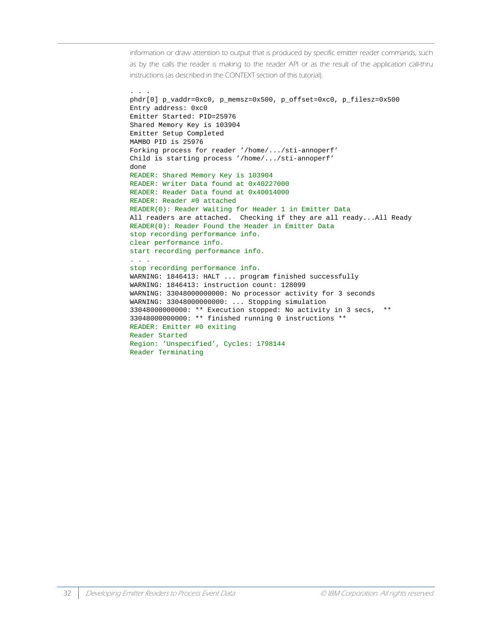information or draw attention to output that is produced by specific emitter reader commands, such as by the calls the reader is making to the reader API or as the result of the application call-thru instructions (as described in the CONTEXT section of this tutorial).

```
. . .
phdr[0] p_vaddr=0xc0, p_memsz=0x500, p_offset=0xc0, p_filesz=0x500
Entry address: 0xc0
Emitter Started: PID=25976
Shared Memory Key is 103904
Emitter Setup Completed
MAMBO PID is 25976
Forking process for reader '/home/.../sti-annoperf'
Child is starting process '/home/.../sti-annoperf'
done
READER: Shared Memory Key is 103904
READER: Writer Data found at 0x40227000
READER: Reader Data found at 0x40014000
READER: Reader #0 attached
READER(0): Reader Waiting for Header 1 in Emitter Data
All readers are attached. Checking if they are all ready...All Ready
READER(0): Reader Found the Header in Emitter Data
stop recording performance info.
clear performance info.
start recording performance info.
. . .
stop recording performance info.
WARNING: 1846413: HALT ... program finished successfully
WARNING: 1846413: instruction count: 128099
WARNING: 33048000000000: No processor activity for 3 seconds
WARNING: 33048000000000: ... Stopping simulation
33048000000000: ** Execution stopped: No activity in 3 secs, **
33048000000000: ** finished running 0 instructions **
READER: Emitter #0 exiting
Reader Started
Region: 'Unspecified', Cycles: 1798144
Reader Terminating
```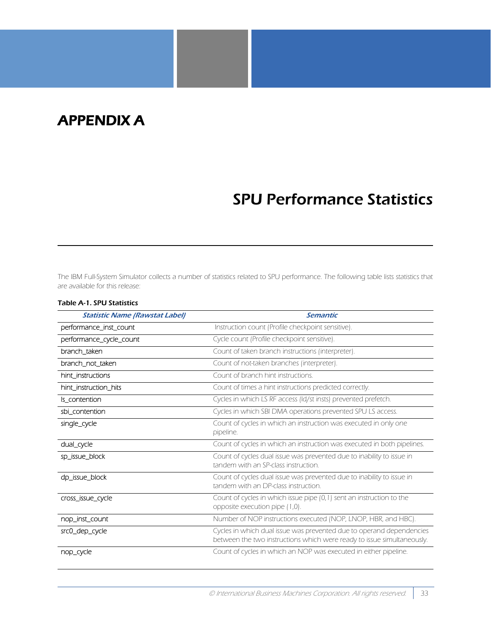## <span id="page-40-0"></span>APPENDIX A

## <span id="page-40-1"></span>SPU Performance Statistics

The IBM Full-System Simulator collects a number of statistics related to SPU performance. The following table lists statistics that are available for this release:

| <b>Statistic Name (Rawstat Label)</b> | <b>Semantic</b>                                                                                                                                |  |
|---------------------------------------|------------------------------------------------------------------------------------------------------------------------------------------------|--|
| performance_inst_count                | Instruction count (Profile checkpoint sensitive).                                                                                              |  |
| performance_cycle_count               | Cycle count (Profile checkpoint sensitive).                                                                                                    |  |
| branch_taken                          | Count of taken branch instructions (interpreter).                                                                                              |  |
| branch_not_taken                      | Count of not-taken branches (interpreter).                                                                                                     |  |
| hint_instructions                     | Count of branch hint instructions.                                                                                                             |  |
| hint_instruction_hits                 | Count of times a hint instructions predicted correctly.                                                                                        |  |
| Is_contention                         | Cycles in which LS RF access (Id/st insts) prevented prefetch.                                                                                 |  |
| sbi_contention                        | Cycles in which SBI DMA operations prevented SPU LS access.                                                                                    |  |
| single_cycle                          | Count of cycles in which an instruction was executed in only one<br>pipeline.                                                                  |  |
| dual_cycle                            | Count of cycles in which an instruction was executed in both pipelines.                                                                        |  |
| sp_issue_block                        | Count of cycles dual issue was prevented due to inability to issue in<br>tandem with an SP-class instruction.                                  |  |
| dp_issue_block                        | Count of cycles dual issue was prevented due to inability to issue in<br>tandem with an DP-class instruction.                                  |  |
| cross_issue_cycle                     | Count of cycles in which issue pipe (0,1) sent an instruction to the<br>opposite execution pipe (1,0).                                         |  |
| nop_inst_count                        | Number of NOP instructions executed (NOP, LNOP, HBR, and HBC).                                                                                 |  |
| src0_dep_cycle                        | Cycles in which dual issue was prevented due to operand dependencies<br>between the two instructions which were ready to issue simultaneously. |  |
| nop_cycle                             | Count of cycles in which an NOP was executed in either pipeline.                                                                               |  |

#### Table A-1. SPU Statistics